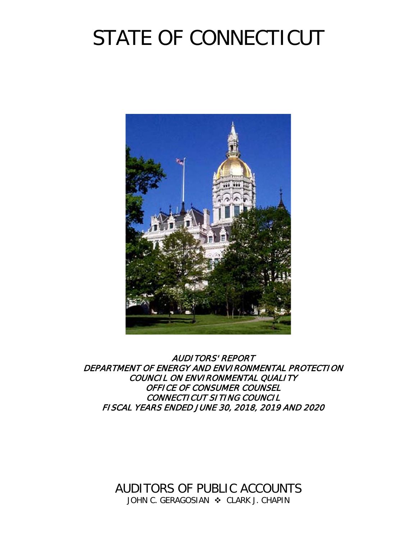# STATE OF CONNECTICUT



AUDITORS' REPORT DEPARTMENT OF ENERGY AND ENVIRONMENTAL PROTECTION COUNCIL ON ENVIRONMENTAL QUALITY OFFICE OF CONSUMER COUNSEL CONNECTICUT SITING COUNCIL FISCAL YEARS ENDED JUNE 30, 2018, 2019 AND 2020

> AUDITORS OF PUBLIC ACCOUNTS JOHN C. GERAGOSIAN  $\cdot$  CLARK J. CHAPIN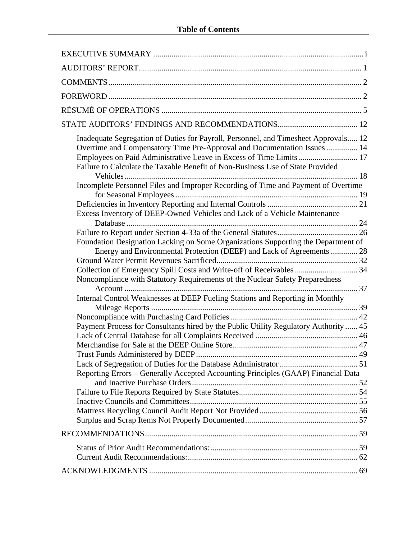| Inadequate Segregation of Duties for Payroll, Personnel, and Timesheet Approvals 12<br>Overtime and Compensatory Time Pre-Approval and Documentation Issues  14<br>Employees on Paid Administrative Leave in Excess of Time Limits 17<br>Failure to Calculate the Taxable Benefit of Non-Business Use of State Provided |  |
|-------------------------------------------------------------------------------------------------------------------------------------------------------------------------------------------------------------------------------------------------------------------------------------------------------------------------|--|
| Incomplete Personnel Files and Improper Recording of Time and Payment of Overtime                                                                                                                                                                                                                                       |  |
| Excess Inventory of DEEP-Owned Vehicles and Lack of a Vehicle Maintenance                                                                                                                                                                                                                                               |  |
|                                                                                                                                                                                                                                                                                                                         |  |
| Foundation Designation Lacking on Some Organizations Supporting the Department of                                                                                                                                                                                                                                       |  |
| Energy and Environmental Protection (DEEP) and Lack of Agreements  28                                                                                                                                                                                                                                                   |  |
| Collection of Emergency Spill Costs and Write-off of Receivables 34<br>Noncompliance with Statutory Requirements of the Nuclear Safety Preparedness                                                                                                                                                                     |  |
| Internal Control Weaknesses at DEEP Fueling Stations and Reporting in Monthly                                                                                                                                                                                                                                           |  |
|                                                                                                                                                                                                                                                                                                                         |  |
| Payment Process for Consultants hired by the Public Utility Regulatory Authority  45                                                                                                                                                                                                                                    |  |
|                                                                                                                                                                                                                                                                                                                         |  |
|                                                                                                                                                                                                                                                                                                                         |  |
|                                                                                                                                                                                                                                                                                                                         |  |
|                                                                                                                                                                                                                                                                                                                         |  |
| Reporting Errors - Generally Accepted Accounting Principles (GAAP) Financial Data                                                                                                                                                                                                                                       |  |
|                                                                                                                                                                                                                                                                                                                         |  |
|                                                                                                                                                                                                                                                                                                                         |  |
|                                                                                                                                                                                                                                                                                                                         |  |
|                                                                                                                                                                                                                                                                                                                         |  |
|                                                                                                                                                                                                                                                                                                                         |  |
|                                                                                                                                                                                                                                                                                                                         |  |
|                                                                                                                                                                                                                                                                                                                         |  |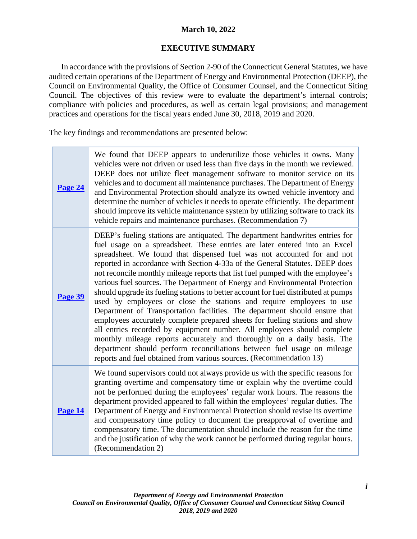# **March 10, 2022**

# **EXECUTIVE SUMMARY**

<span id="page-2-0"></span>In accordance with the provisions of Section 2-90 of the Connecticut General Statutes, we have audited certain operations of the Department of Energy and Environmental Protection (DEEP), the Council on Environmental Quality, the Office of Consumer Counsel, and the Connecticut Siting Council. The objectives of this review were to evaluate the department's internal controls; compliance with policies and procedures, as well as certain legal provisions; and management practices and operations for the fiscal years ended June 30, 2018, 2019 and 2020.

The key findings and recommendations are presented below:

| Page 24 | We found that DEEP appears to underutilize those vehicles it owns. Many<br>vehicles were not driven or used less than five days in the month we reviewed.<br>DEEP does not utilize fleet management software to monitor service on its<br>vehicles and to document all maintenance purchases. The Department of Energy<br>and Environmental Protection should analyze its owned vehicle inventory and<br>determine the number of vehicles it needs to operate efficiently. The department<br>should improve its vehicle maintenance system by utilizing software to track its<br>vehicle repairs and maintenance purchases. (Recommendation 7)                                                                                                                                                                                                                                                                                                                                                                                                                                                                               |
|---------|------------------------------------------------------------------------------------------------------------------------------------------------------------------------------------------------------------------------------------------------------------------------------------------------------------------------------------------------------------------------------------------------------------------------------------------------------------------------------------------------------------------------------------------------------------------------------------------------------------------------------------------------------------------------------------------------------------------------------------------------------------------------------------------------------------------------------------------------------------------------------------------------------------------------------------------------------------------------------------------------------------------------------------------------------------------------------------------------------------------------------|
| Page 39 | DEEP's fueling stations are antiquated. The department handwrites entries for<br>fuel usage on a spreadsheet. These entries are later entered into an Excel<br>spreadsheet. We found that dispensed fuel was not accounted for and not<br>reported in accordance with Section 4-33a of the General Statutes. DEEP does<br>not reconcile monthly mileage reports that list fuel pumped with the employee's<br>various fuel sources. The Department of Energy and Environmental Protection<br>should upgrade its fueling stations to better account for fuel distributed at pumps<br>used by employees or close the stations and require employees to use<br>Department of Transportation facilities. The department should ensure that<br>employees accurately complete prepared sheets for fueling stations and show<br>all entries recorded by equipment number. All employees should complete<br>monthly mileage reports accurately and thoroughly on a daily basis. The<br>department should perform reconciliations between fuel usage on mileage<br>reports and fuel obtained from various sources. (Recommendation 13) |
| Page 14 | We found supervisors could not always provide us with the specific reasons for<br>granting overtime and compensatory time or explain why the overtime could<br>not be performed during the employees' regular work hours. The reasons the<br>department provided appeared to fall within the employees' regular duties. The<br>Department of Energy and Environmental Protection should revise its overtime<br>and compensatory time policy to document the preapproval of overtime and<br>compensatory time. The documentation should include the reason for the time<br>and the justification of why the work cannot be performed during regular hours.<br>(Recommendation 2)                                                                                                                                                                                                                                                                                                                                                                                                                                              |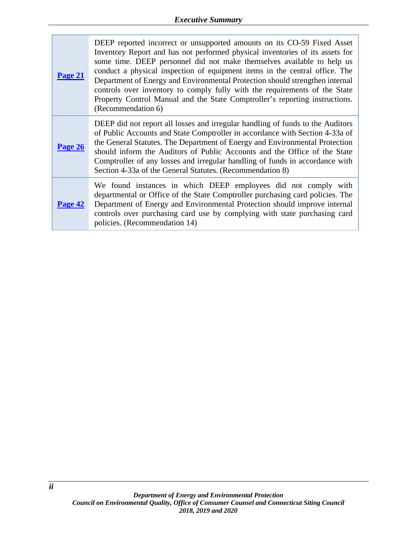| Page 21 | DEEP reported incorrect or unsupported amounts on its CO-59 Fixed Asset<br>Inventory Report and has not performed physical inventories of its assets for<br>some time. DEEP personnel did not make themselves available to help us<br>conduct a physical inspection of equipment items in the central office. The<br>Department of Energy and Environmental Protection should strengthen internal<br>controls over inventory to comply fully with the requirements of the State<br>Property Control Manual and the State Comptroller's reporting instructions.<br>(Recommendation 6) |
|---------|--------------------------------------------------------------------------------------------------------------------------------------------------------------------------------------------------------------------------------------------------------------------------------------------------------------------------------------------------------------------------------------------------------------------------------------------------------------------------------------------------------------------------------------------------------------------------------------|
| Page 26 | DEEP did not report all losses and irregular handling of funds to the Auditors<br>of Public Accounts and State Comptroller in accordance with Section 4-33a of<br>the General Statutes. The Department of Energy and Environmental Protection<br>should inform the Auditors of Public Accounts and the Office of the State<br>Comptroller of any losses and irregular handling of funds in accordance with<br>Section 4-33a of the General Statutes. (Recommendation 8)                                                                                                              |
| Page 42 | We found instances in which DEEP employees did not comply with<br>departmental or Office of the State Comptroller purchasing card policies. The<br>Department of Energy and Environmental Protection should improve internal<br>controls over purchasing card use by complying with state purchasing card<br>policies. (Recommendation 14)                                                                                                                                                                                                                                           |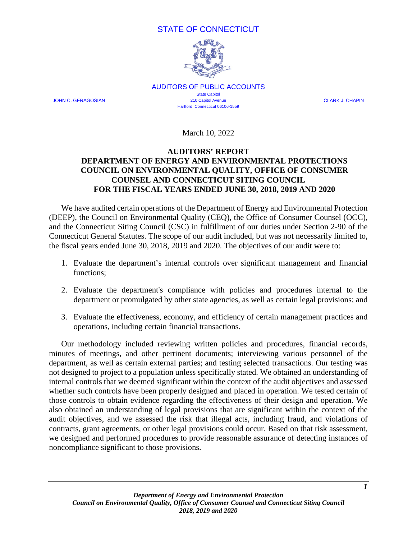# STATE OF CONNECTICUT



AUDITORS OF PUBLIC ACCOUNTS State Capitol JOHN C. GERAGOSIAN 210 Capitol Avenue CLARK J. CHAPIN Hartford, Connecticut 06106-1559

March 10, 2022

#### <span id="page-4-0"></span>**AUDITORS' REPORT DEPARTMENT OF ENERGY AND ENVIRONMENTAL PROTECTIONS COUNCIL ON ENVIRONMENTAL QUALITY, OFFICE OF CONSUMER COUNSEL AND CONNECTICUT SITING COUNCIL FOR THE FISCAL YEARS ENDED JUNE 30, 2018, 2019 AND 2020**

We have audited certain operations of the Department of Energy and Environmental Protection (DEEP), the Council on Environmental Quality (CEQ), the Office of Consumer Counsel (OCC), and the Connecticut Siting Council (CSC) in fulfillment of our duties under Section 2-90 of the Connecticut General Statutes. The scope of our audit included, but was not necessarily limited to, the fiscal years ended June 30, 2018, 2019 and 2020. The objectives of our audit were to:

- 1. Evaluate the department's internal controls over significant management and financial functions;
- 2. Evaluate the department's compliance with policies and procedures internal to the department or promulgated by other state agencies, as well as certain legal provisions; and
- 3. Evaluate the effectiveness, economy, and efficiency of certain management practices and operations, including certain financial transactions.

Our methodology included reviewing written policies and procedures, financial records, minutes of meetings, and other pertinent documents; interviewing various personnel of the department, as well as certain external parties; and testing selected transactions. Our testing was not designed to project to a population unless specifically stated. We obtained an understanding of internal controls that we deemed significant within the context of the audit objectives and assessed whether such controls have been properly designed and placed in operation. We tested certain of those controls to obtain evidence regarding the effectiveness of their design and operation. We also obtained an understanding of legal provisions that are significant within the context of the audit objectives, and we assessed the risk that illegal acts, including fraud, and violations of contracts, grant agreements, or other legal provisions could occur. Based on that risk assessment, we designed and performed procedures to provide reasonable assurance of detecting instances of noncompliance significant to those provisions.

*1*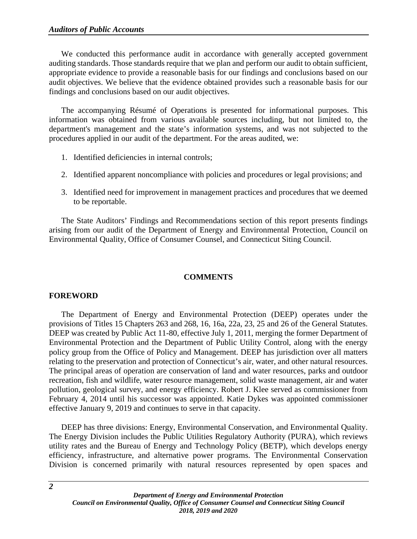We conducted this performance audit in accordance with generally accepted government auditing standards. Those standards require that we plan and perform our audit to obtain sufficient, appropriate evidence to provide a reasonable basis for our findings and conclusions based on our audit objectives. We believe that the evidence obtained provides such a reasonable basis for our findings and conclusions based on our audit objectives.

The accompanying Résumé of Operations is presented for informational purposes. This information was obtained from various available sources including, but not limited to, the department's management and the state's information systems, and was not subjected to the procedures applied in our audit of the department. For the areas audited, we:

- 1. Identified deficiencies in internal controls;
- 2. Identified apparent noncompliance with policies and procedures or legal provisions; and
- 3. Identified need for improvement in management practices and procedures that we deemed to be reportable.

The State Auditors' Findings and Recommendations section of this report presents findings arising from our audit of the Department of Energy and Environmental Protection, Council on Environmental Quality, Office of Consumer Counsel, and Connecticut Siting Council.

# **COMMENTS**

# <span id="page-5-1"></span><span id="page-5-0"></span>**FOREWORD**

The Department of Energy and Environmental Protection (DEEP) operates under the provisions of Titles 15 Chapters 263 and 268, 16, 16a, 22a, 23, 25 and 26 of the General Statutes. DEEP was created by Public Act 11-80, effective July 1, 2011, merging the former Department of Environmental Protection and the Department of Public Utility Control, along with the energy policy group from the Office of Policy and Management. DEEP has jurisdiction over all matters relating to the preservation and protection of Connecticut's air, water, and other natural resources. The principal areas of operation are conservation of land and water resources, parks and outdoor recreation, fish and wildlife, water resource management, solid waste management, air and water pollution, geological survey, and energy efficiency. Robert J. Klee served as commissioner from February 4, 2014 until his successor was appointed. Katie Dykes was appointed commissioner effective January 9, 2019 and continues to serve in that capacity.

DEEP has three divisions: Energy, Environmental Conservation, and Environmental Quality. The Energy Division includes the Public Utilities Regulatory Authority (PURA), which reviews utility rates and the Bureau of Energy and Technology Policy (BETP), which develops energy efficiency, infrastructure, and alternative power programs. The Environmental Conservation Division is concerned primarily with natural resources represented by open spaces and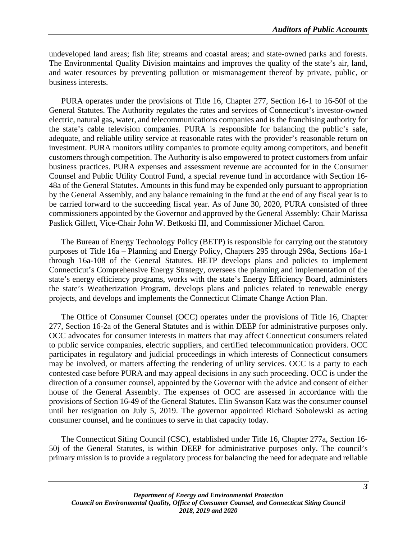undeveloped land areas; fish life; streams and coastal areas; and state-owned parks and forests. The Environmental Quality Division maintains and improves the quality of the state's air, land, and water resources by preventing pollution or mismanagement thereof by private, public, or business interests.

PURA operates under the provisions of Title 16, Chapter 277, Section 16-1 to 16-50f of the General Statutes. The Authority regulates the rates and services of Connecticut's investor-owned electric, natural gas, water, and telecommunications companies and is the franchising authority for the state's cable television companies. PURA is responsible for balancing the public's safe, adequate, and reliable utility service at reasonable rates with the provider's reasonable return on investment. PURA monitors utility companies to promote equity among competitors, and benefit customers through competition. The Authority is also empowered to protect customers from unfair business practices. PURA expenses and assessment revenue are accounted for in the Consumer Counsel and Public Utility Control Fund, a special revenue fund in accordance with Section 16- 48a of the General Statutes. Amounts in this fund may be expended only pursuant to appropriation by the General Assembly, and any balance remaining in the fund at the end of any fiscal year is to be carried forward to the succeeding fiscal year. As of June 30, 2020, PURA consisted of three commissioners appointed by the Governor and approved by the General Assembly: Chair Marissa Paslick Gillett, Vice-Chair John W. Betkoski III, and Commissioner Michael Caron.

The Bureau of Energy Technology Policy (BETP) is responsible for carrying out the statutory purposes of Title 16a – Planning and Energy Policy, Chapters 295 through 298a, Sections 16a-1 through 16a-108 of the General Statutes. BETP develops plans and policies to implement Connecticut's Comprehensive Energy Strategy, oversees the planning and implementation of the state's energy efficiency programs, works with the state's Energy Efficiency Board, administers the state's Weatherization Program, develops plans and policies related to renewable energy projects, and develops and implements the Connecticut Climate Change Action Plan.

The Office of Consumer Counsel (OCC) operates under the provisions of Title 16, Chapter 277, Section 16-2a of the General Statutes and is within DEEP for administrative purposes only. OCC advocates for consumer interests in matters that may affect Connecticut consumers related to public service companies, electric suppliers, and certified telecommunication providers. OCC participates in regulatory and judicial proceedings in which interests of Connecticut consumers may be involved, or matters affecting the rendering of utility services. OCC is a party to each contested case before PURA and may appeal decisions in any such proceeding. OCC is under the direction of a consumer counsel, appointed by the Governor with the advice and consent of either house of the General Assembly. The expenses of OCC are assessed in accordance with the provisions of Section 16-49 of the General Statutes. Elin Swanson Katz was the consumer counsel until her resignation on July 5, 2019. The governor appointed Richard Sobolewski as acting consumer counsel, and he continues to serve in that capacity today.

The Connecticut Siting Council (CSC), established under Title 16, Chapter 277a, Section 16- 50j of the General Statutes, is within DEEP for administrative purposes only. The council's primary mission is to provide a regulatory process for balancing the need for adequate and reliable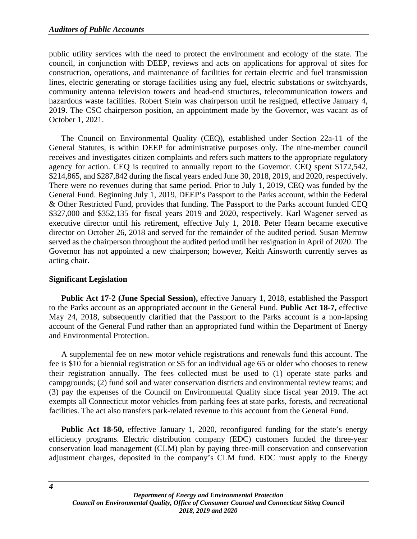public utility services with the need to protect the environment and ecology of the state. The council, in conjunction with DEEP, reviews and acts on applications for approval of sites for construction, operations, and maintenance of facilities for certain electric and fuel transmission lines, electric generating or storage facilities using any fuel, electric substations or switchyards, community antenna television towers and head-end structures, telecommunication towers and hazardous waste facilities. Robert Stein was chairperson until he resigned, effective January 4, 2019. The CSC chairperson position, an appointment made by the Governor, was vacant as of October 1, 2021.

The Council on Environmental Quality (CEQ), established under Section 22a-11 of the General Statutes, is within DEEP for administrative purposes only. The nine-member council receives and investigates citizen complaints and refers such matters to the appropriate regulatory agency for action. CEQ is required to annually report to the Governor. CEQ spent \$172,542, \$214,865, and \$287,842 during the fiscal years ended June 30, 2018, 2019, and 2020, respectively. There were no revenues during that same period. Prior to July 1, 2019, CEQ was funded by the General Fund. Beginning July 1, 2019, DEEP's Passport to the Parks account, within the Federal & Other Restricted Fund, provides that funding. The Passport to the Parks account funded CEQ \$327,000 and \$352,135 for fiscal years 2019 and 2020, respectively. Karl Wagener served as executive director until his retirement, effective July 1, 2018. Peter Hearn became executive director on October 26, 2018 and served for the remainder of the audited period. Susan Merrow served as the chairperson throughout the audited period until her resignation in April of 2020. The Governor has not appointed a new chairperson; however, Keith Ainsworth currently serves as acting chair.

# **Significant Legislation**

**Public Act 17-2 (June Special Session),** effective January 1, 2018, established the Passport to the Parks account as an appropriated account in the General Fund. **Public Act 18-7,** effective May 24, 2018, subsequently clarified that the Passport to the Parks account is a non-lapsing account of the General Fund rather than an appropriated fund within the Department of Energy and Environmental Protection.

A supplemental fee on new motor vehicle registrations and renewals fund this account. The fee is \$10 for a biennial registration or \$5 for an individual age 65 or older who chooses to renew their registration annually. The fees collected must be used to (1) operate state parks and campgrounds; (2) fund soil and water conservation districts and environmental review teams; and (3) pay the expenses of the Council on Environmental Quality since fiscal year 2019. The act exempts all Connecticut motor vehicles from parking fees at state parks, forests, and recreational facilities. The act also transfers park-related revenue to this account from the General Fund.

**Public Act 18-50,** effective January 1, 2020, reconfigured funding for the state's energy efficiency programs. Electric distribution company (EDC) customers funded the three-year conservation load management (CLM) plan by paying three-mill conservation and conservation adjustment charges, deposited in the company's CLM fund. EDC must apply to the Energy

*4*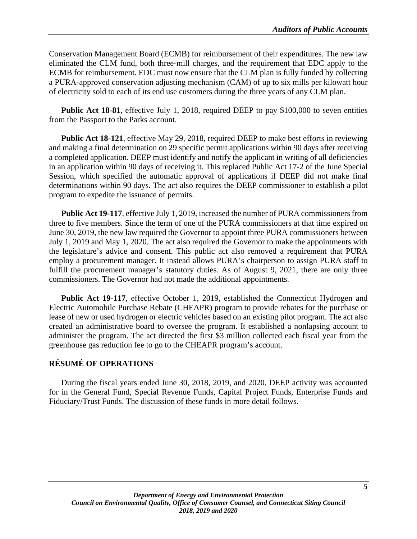Conservation Management Board (ECMB) for reimbursement of their expenditures. The new law eliminated the CLM fund, both three-mill charges, and the requirement that EDC apply to the ECMB for reimbursement. EDC must now ensure that the CLM plan is fully funded by collecting a PURA-approved conservation adjusting mechanism (CAM) of up to six mills per kilowatt hour of electricity sold to each of its end use customers during the three years of any CLM plan.

**Public Act 18-81**, effective July 1, 2018, required DEEP to pay \$100,000 to seven entities from the Passport to the Parks account.

**Public Act 18-121**, effective May 29, 2018, required DEEP to make best efforts in reviewing and making a final determination on 29 specific permit applications within 90 days after receiving a completed application. DEEP must identify and notify the applicant in writing of all deficiencies in an application within 90 days of receiving it. This replaced Public Act 17-2 of the June Special Session, which specified the automatic approval of applications if DEEP did not make final determinations within 90 days. The act also requires the DEEP commissioner to establish a pilot program to expedite the issuance of permits.

**Public Act 19-117**, effective July 1, 2019, increased the number of PURA commissioners from three to five members. Since the term of one of the PURA commissioners at that time expired on June 30, 2019, the new law required the Governor to appoint three PURA commissioners between July 1, 2019 and May 1, 2020. The act also required the Governor to make the appointments with the legislature's advice and consent. This public act also removed a requirement that PURA employ a procurement manager. It instead allows PURA's chairperson to assign PURA staff to fulfill the procurement manager's statutory duties. As of August 9, 2021, there are only three commissioners. The Governor had not made the additional appointments.

Public Act 19-117, effective October 1, 2019, established the Connecticut Hydrogen and Electric Automobile Purchase Rebate (CHEAPR) program to provide rebates for the purchase or lease of new or used hydrogen or electric vehicles based on an existing pilot program. The act also created an administrative board to oversee the program. It established a nonlapsing account to administer the program. The act directed the first \$3 million collected each fiscal year from the greenhouse gas reduction fee to go to the CHEAPR program's account.

# <span id="page-8-0"></span>**RÉSUMÉ OF OPERATIONS**

During the fiscal years ended June 30, 2018, 2019, and 2020, DEEP activity was accounted for in the General Fund, Special Revenue Funds, Capital Project Funds, Enterprise Funds and Fiduciary/Trust Funds. The discussion of these funds in more detail follows.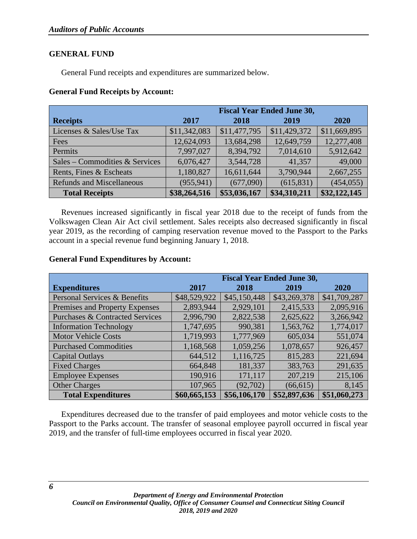#### **GENERAL FUND**

General Fund receipts and expenditures are summarized below.

#### **General Fund Receipts by Account:**

|                                  | <b>Fiscal Year Ended June 30,</b> |              |              |              |
|----------------------------------|-----------------------------------|--------------|--------------|--------------|
| <b>Receipts</b>                  | 2017                              | 2018         | 2019         | <b>2020</b>  |
| Licenses & Sales/Use Tax         | \$11,342,083                      | \$11,477,795 | \$11,429,372 | \$11,669,895 |
| Fees                             | 12,624,093                        | 13,684,298   | 12,649,759   | 12,277,408   |
| Permits                          | 7,997,027                         | 8,394,792    | 7,014,610    | 5,912,642    |
| Sales – Commodities & Services   | 6,076,427                         | 3,544,728    | 41,357       | 49,000       |
| Rents, Fines & Escheats          | 1,180,827                         | 16,611,644   | 3,790,944    | 2,667,255    |
| <b>Refunds and Miscellaneous</b> | (955, 941)                        | (677,090)    | (615, 831)   | (454, 055)   |
| <b>Total Receipts</b>            | \$38,264,516                      | \$53,036,167 | \$34,310,211 | \$32,122,145 |

Revenues increased significantly in fiscal year 2018 due to the receipt of funds from the Volkswagen Clean Air Act civil settlement. Sales receipts also decreased significantly in fiscal year 2019, as the recording of camping reservation revenue moved to the Passport to the Parks account in a special revenue fund beginning January 1, 2018.

#### **General Fund Expenditures by Account:**

|                                            | <b>Fiscal Year Ended June 30,</b> |              |              |              |
|--------------------------------------------|-----------------------------------|--------------|--------------|--------------|
| <b>Expenditures</b>                        | 2017                              | 2018         | 2019         | 2020         |
| Personal Services & Benefits               | \$48,529,922                      | \$45,150,448 | \$43,269,378 | \$41,709,287 |
| Premises and Property Expenses             | 2,893,944                         | 2,929,101    | 2,415,533    | 2,095,916    |
| <b>Purchases &amp; Contracted Services</b> | 2,996,790                         | 2,822,538    | 2,625,622    | 3,266,942    |
| <b>Information Technology</b>              | 1,747,695                         | 990,381      | 1,563,762    | 1,774,017    |
| <b>Motor Vehicle Costs</b>                 | 1,719,993                         | 1,777,969    | 605,034      | 551,074      |
| <b>Purchased Commodities</b>               | 1,168,568                         | 1,059,256    | 1,078,657    | 926,457      |
| <b>Capital Outlays</b>                     | 644,512                           | 1,116,725    | 815,283      | 221,694      |
| <b>Fixed Charges</b>                       | 664,848                           | 181,337      | 383,763      | 291,635      |
| <b>Employee Expenses</b>                   | 190,916                           | 171,117      | 207,219      | 215,106      |
| <b>Other Charges</b>                       | 107,965                           | (92, 702)    | (66, 615)    | 8,145        |
| <b>Total Expenditures</b>                  | \$60,665,153                      | \$56,106,170 | \$52,897,636 | \$51,060,273 |

Expenditures decreased due to the transfer of paid employees and motor vehicle costs to the Passport to the Parks account. The transfer of seasonal employee payroll occurred in fiscal year 2019, and the transfer of full-time employees occurred in fiscal year 2020.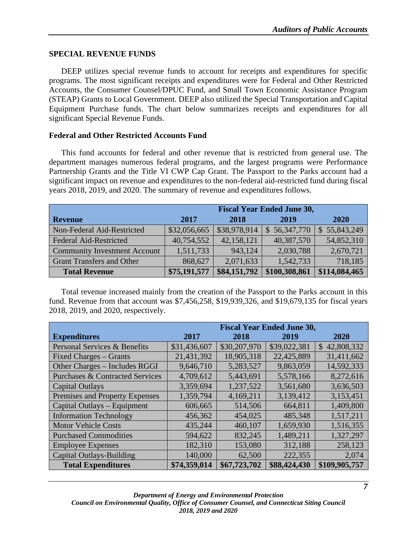#### **SPECIAL REVENUE FUNDS**

DEEP utilizes special revenue funds to account for receipts and expenditures for specific programs. The most significant receipts and expenditures were for Federal and Other Restricted Accounts, the Consumer Counsel/DPUC Fund, and Small Town Economic Assistance Program (STEAP) Grants to Local Government. DEEP also utilized the Special Transportation and Capital Equipment Purchase funds. The chart below summarizes receipts and expenditures for all significant Special Revenue Funds.

#### **Federal and Other Restricted Accounts Fund**

This fund accounts for federal and other revenue that is restricted from general use. The department manages numerous federal programs, and the largest programs were Performance Partnership Grants and the Title VI CWP Cap Grant. The Passport to the Parks account had a significant impact on revenue and expenditures to the non-federal aid-restricted fund during fiscal years 2018, 2019, and 2020. The summary of revenue and expenditures follows.

|                                     | <b>Fiscal Year Ended June 30,</b> |              |               |               |
|-------------------------------------|-----------------------------------|--------------|---------------|---------------|
| <b>Revenue</b>                      | 2017                              | 2018         | 2019          | 2020          |
| Non-Federal Aid-Restricted          | \$32,056,665                      | \$38,978,914 | \$56,347,770  | \$55,843,249  |
| <b>Federal Aid-Restricted</b>       | 40,754,552                        | 42,158,121   | 40,387,570    | 54,852,310    |
| <b>Community Investment Account</b> | 1,511,733                         | 943,124      | 2,030,788     | 2,670,721     |
| <b>Grant Transfers and Other</b>    | 868,627                           | 2,071,633    | 1,542,733     | 718,185       |
| <b>Total Revenue</b>                | \$75,191,577                      | \$84,151,792 | \$100,308,861 | \$114,084,465 |

Total revenue increased mainly from the creation of the Passport to the Parks account in this fund. Revenue from that account was \$7,456,258, \$19,939,326, and \$19,679,135 for fiscal years 2018, 2019, and 2020, respectively.

|                                            | <b>Fiscal Year Ended June 30,</b> |              |              |               |
|--------------------------------------------|-----------------------------------|--------------|--------------|---------------|
| <b>Expenditures</b>                        | 2017                              | 2018         | 2019         | 2020          |
| Personal Services & Benefits               | \$31,436,607                      | \$30,207,970 | \$39,022,381 | \$42,808,332  |
| <b>Fixed Charges - Grants</b>              | 21,431,392                        | 18,905,318   | 22,425,889   | 31,411,662    |
| Other Charges - Includes RGGI              | 9,646,710                         | 5,283,527    | 9,863,059    | 14,592,333    |
| <b>Purchases &amp; Contracted Services</b> | 4,709,612                         | 5,443,691    | 5,578,166    | 8,272,616     |
| <b>Capital Outlays</b>                     | 3,359,694                         | 1,237,522    | 3,561,680    | 3,636,503     |
| Premises and Property Expenses             | 1,359,794                         | 4,169,211    | 3,139,412    | 3,153,451     |
| Capital Outlays - Equipment                | 606,665                           | 514,506      | 664,811      | 1,409,800     |
| <b>Information Technology</b>              | 456,362                           | 454,025      | 485,348      | 1,517,211     |
| <b>Motor Vehicle Costs</b>                 | 435,244                           | 460,107      | 1,659,930    | 1,516,355     |
| <b>Purchased Commodities</b>               | 594,622                           | 832,245      | 1,489,211    | 1,327,297     |
| <b>Employee Expenses</b>                   | 182,310                           | 153,080      | 312,188      | 258,123       |
| <b>Capital Outlays-Building</b>            | 140,000                           | 62,500       | 222,355      | 2,074         |
| <b>Total Expenditures</b>                  | \$74,359,014                      | \$67,723,702 | \$88,424,430 | \$109,905,757 |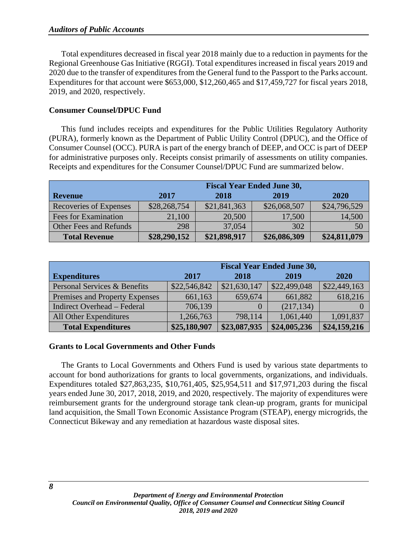Total expenditures decreased in fiscal year 2018 mainly due to a reduction in payments for the Regional Greenhouse Gas Initiative (RGGI). Total expenditures increased in fiscal years 2019 and 2020 due to the transfer of expenditures from the General fund to the Passport to the Parks account. Expenditures for that account were \$653,000, \$12,260,465 and \$17,459,727 for fiscal years 2018, 2019, and 2020, respectively.

#### **Consumer Counsel/DPUC Fund**

This fund includes receipts and expenditures for the Public Utilities Regulatory Authority (PURA), formerly known as the Department of Public Utility Control (DPUC), and the Office of Consumer Counsel (OCC). PURA is part of the energy branch of DEEP, and OCC is part of DEEP for administrative purposes only. Receipts consist primarily of assessments on utility companies. Receipts and expenditures for the Consumer Counsel/DPUC Fund are summarized below.

|                        | <b>Fiscal Year Ended June 30,</b> |              |              |              |  |  |
|------------------------|-----------------------------------|--------------|--------------|--------------|--|--|
| <b>Revenue</b>         | 2017<br>2018<br>2019<br>2020      |              |              |              |  |  |
| Recoveries of Expenses | \$28,268,754                      | \$21,841,363 | \$26,068,507 | \$24,796,529 |  |  |
| Fees for Examination   | 21,100                            | 20,500       | 17,500       | 14,500       |  |  |
| Other Fees and Refunds | 298                               | 37,054       | 302          | 50           |  |  |
| <b>Total Revenue</b>   | \$28,290,152                      | \$21,898,917 | \$26,086,309 | \$24,811,079 |  |  |

|                                | <b>Fiscal Year Ended June 30,</b> |              |              |              |
|--------------------------------|-----------------------------------|--------------|--------------|--------------|
| <b>Expenditures</b>            | 2017                              | 2018         | 2019         | 2020         |
| Personal Services & Benefits   | \$22,546,842                      | \$21,630,147 | \$22,499,048 | \$22,449,163 |
| Premises and Property Expenses | 661,163                           | 659,674      | 661,882      | 618,216      |
| Indirect Overhead - Federal    | 706,139                           |              | (217, 134)   |              |
| All Other Expenditures         | 1,266,763                         | 798,114      | 1,061,440    | 1,091,837    |
| <b>Total Expenditures</b>      | \$25,180,907                      | \$23,087,935 | \$24,005,236 | \$24,159,216 |

#### **Grants to Local Governments and Other Funds**

The Grants to Local Governments and Others Fund is used by various state departments to account for bond authorizations for grants to local governments, organizations, and individuals. Expenditures totaled \$27,863,235, \$10,761,405, \$25,954,511 and \$17,971,203 during the fiscal years ended June 30, 2017, 2018, 2019, and 2020, respectively. The majority of expenditures were reimbursement grants for the underground storage tank clean-up program, grants for municipal land acquisition, the Small Town Economic Assistance Program (STEAP), energy microgrids, the Connecticut Bikeway and any remediation at hazardous waste disposal sites.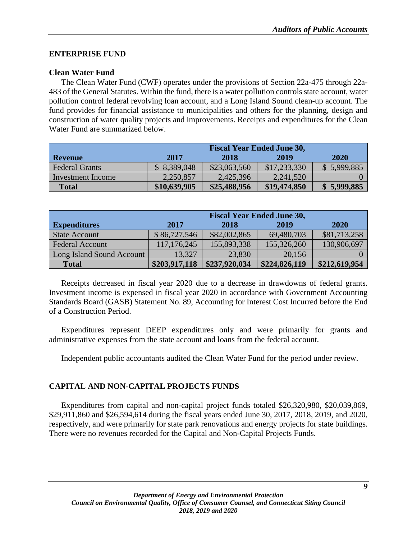# **ENTERPRISE FUND**

# **Clean Water Fund**

The Clean Water Fund (CWF) operates under the provisions of Section 22a-475 through 22a-483 of the General Statutes. Within the fund, there is a water pollution controls state account, water pollution control federal revolving loan account, and a Long Island Sound clean-up account. The fund provides for financial assistance to municipalities and others for the planning, design and construction of water quality projects and improvements. Receipts and expenditures for the Clean Water Fund are summarized below.

|                       | <b>Fiscal Year Ended June 30,</b> |              |              |             |
|-----------------------|-----------------------------------|--------------|--------------|-------------|
| <b>Revenue</b>        | 2017                              | 2018         | 2019         | 2020        |
| <b>Federal Grants</b> | \$8,389,048                       | \$23,063,560 | \$17,233,330 | \$5,999,885 |
| Investment Income     | 2,250,857                         | 2,425,396    | 2,241,520    |             |
| <b>Total</b>          | \$10,639,905                      | \$25,488,956 | \$19,474,850 | \$5,999,885 |

|                           | <b>Fiscal Year Ended June 30,</b> |               |               |               |  |  |
|---------------------------|-----------------------------------|---------------|---------------|---------------|--|--|
| <b>Expenditures</b>       | 2017<br>2019<br>2020<br>2018      |               |               |               |  |  |
| <b>State Account</b>      | \$86,727,546                      | \$82,002,865  | 69,480,703    | \$81,713,258  |  |  |
| <b>Federal Account</b>    | 117, 176, 245                     | 155,893,338   | 155,326,260   | 130,906,697   |  |  |
| Long Island Sound Account | 13,327                            | 23,830        | 20,156        |               |  |  |
| <b>Total</b>              | \$203,917,118                     | \$237,920,034 | \$224,826,119 | \$212,619,954 |  |  |

Receipts decreased in fiscal year 2020 due to a decrease in drawdowns of federal grants. Investment income is expensed in fiscal year 2020 in accordance with Government Accounting Standards Board (GASB) Statement No. 89, Accounting for Interest Cost Incurred before the End of a Construction Period.

Expenditures represent DEEP expenditures only and were primarily for grants and administrative expenses from the state account and loans from the federal account.

Independent public accountants audited the Clean Water Fund for the period under review.

# **CAPITAL AND NON-CAPITAL PROJECTS FUNDS**

Expenditures from capital and non-capital project funds totaled \$26,320,980, \$20,039,869, \$29,911,860 and \$26,594,614 during the fiscal years ended June 30, 2017, 2018, 2019, and 2020, respectively, and were primarily for state park renovations and energy projects for state buildings. There were no revenues recorded for the Capital and Non-Capital Projects Funds.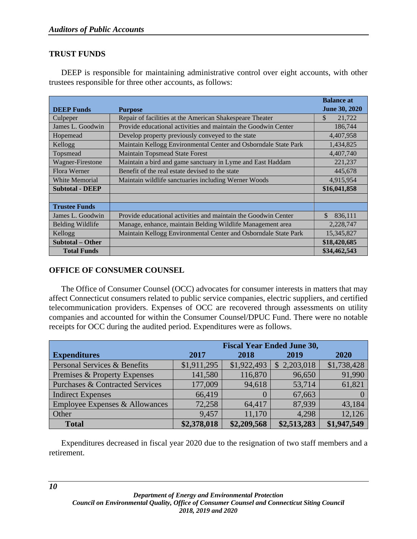# **TRUST FUNDS**

DEEP is responsible for maintaining administrative control over eight accounts, with other trustees responsible for three other accounts, as follows:

|                         |                                                                 | <b>Balance at</b>    |
|-------------------------|-----------------------------------------------------------------|----------------------|
| <b>DEEP Funds</b>       | <b>Purpose</b>                                                  | <b>June 30, 2020</b> |
| Culpeper                | Repair of facilities at the American Shakespeare Theater        | \$<br>21,722         |
| James L. Goodwin        | Provide educational activities and maintain the Goodwin Center  | 186,744              |
| Hopemead                | Develop property previously conveyed to the state               | 4,407,958            |
| Kellogg                 | Maintain Kellogg Environmental Center and Osborndale State Park | 1,434,825            |
| Topsmead                | <b>Maintain Topsmead State Forest</b>                           | 4,407,740            |
| Wagner-Firestone        | Maintain a bird and game sanctuary in Lyme and East Haddam      | 221,237              |
| Flora Werner            | Benefit of the real estate devised to the state                 | 445,678              |
| White Memorial          | Maintain wildlife sanctuaries including Werner Woods            | 4,915,954            |
| <b>Subtotal - DEEP</b>  |                                                                 | \$16,041,858         |
|                         |                                                                 |                      |
| <b>Trustee Funds</b>    |                                                                 |                      |
| James L. Goodwin        | Provide educational activities and maintain the Goodwin Center  | \$<br>836,111        |
| <b>Belding Wildlife</b> | Manage, enhance, maintain Belding Wildlife Management area      | 2,228,747            |
| Kellogg                 | Maintain Kellogg Environmental Center and Osborndale State Park | 15,345,827           |
| <b>Subtotal – Other</b> |                                                                 | \$18,420,685         |
| <b>Total Funds</b>      |                                                                 | \$34,462,543         |

# **OFFICE OF CONSUMER COUNSEL**

The Office of Consumer Counsel (OCC) advocates for consumer interests in matters that may affect Connecticut consumers related to public service companies, electric suppliers, and certified telecommunication providers. Expenses of OCC are recovered through assessments on utility companies and accounted for within the Consumer Counsel/DPUC Fund. There were no notable receipts for OCC during the audited period. Expenditures were as follows.

|                                            | <b>Fiscal Year Ended June 30,</b> |             |             |             |
|--------------------------------------------|-----------------------------------|-------------|-------------|-------------|
| <b>Expenditures</b>                        | 2017                              | 2018        | 2019        | 2020        |
| Personal Services & Benefits               | \$1,911,295                       | \$1,922,493 | \$2,203,018 | \$1,738,428 |
| Premises & Property Expenses               | 141,580                           | 116,870     | 96,650      | 91,990      |
| <b>Purchases &amp; Contracted Services</b> | 177,009                           | 94,618      | 53,714      | 61,821      |
| <b>Indirect Expenses</b>                   | 66,419                            | $\left($    | 67,663      |             |
| Employee Expenses & Allowances             | 72,258                            | 64,417      | 87,939      | 43,184      |
| Other                                      | 9,457                             | 11,170      | 4,298       | 12,126      |
| <b>Total</b>                               | \$2,378,018                       | \$2,209,568 | \$2,513,283 | \$1,947,549 |

Expenditures decreased in fiscal year 2020 due to the resignation of two staff members and a retirement.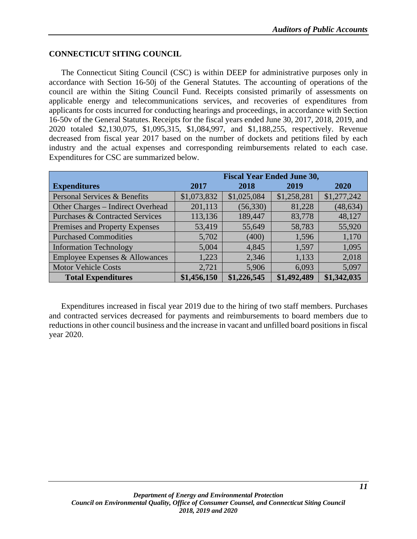#### **CONNECTICUT SITING COUNCIL**

The Connecticut Siting Council (CSC) is within DEEP for administrative purposes only in accordance with Section 16-50j of the General Statutes. The accounting of operations of the council are within the Siting Council Fund. Receipts consisted primarily of assessments on applicable energy and telecommunications services, and recoveries of expenditures from applicants for costs incurred for conducting hearings and proceedings, in accordance with Section 16-50v of the General Statutes. Receipts for the fiscal years ended June 30, 2017, 2018, 2019, and 2020 totaled \$2,130,075, \$1,095,315, \$1,084,997, and \$1,188,255, respectively. Revenue decreased from fiscal year 2017 based on the number of dockets and petitions filed by each industry and the actual expenses and corresponding reimbursements related to each case. Expenditures for CSC are summarized below.

|                                            | <b>Fiscal Year Ended June 30,</b> |             |             |             |
|--------------------------------------------|-----------------------------------|-------------|-------------|-------------|
| <b>Expenditures</b>                        | 2017                              | 2018        | 2019        | <b>2020</b> |
| Personal Services & Benefits               | \$1,073,832                       | \$1,025,084 | \$1,258,281 | \$1,277,242 |
| Other Charges - Indirect Overhead          | 201,113                           | (56, 330)   | 81,228      | (48, 634)   |
| <b>Purchases &amp; Contracted Services</b> | 113,136                           | 189,447     | 83,778      | 48,127      |
| Premises and Property Expenses             | 53,419                            | 55,649      | 58,783      | 55,920      |
| <b>Purchased Commodities</b>               | 5,702                             | (400)       | 1,596       | 1,170       |
| <b>Information Technology</b>              | 5,004                             | 4,845       | 1,597       | 1,095       |
| Employee Expenses & Allowances             | 1,223                             | 2,346       | 1,133       | 2,018       |
| <b>Motor Vehicle Costs</b>                 | 2,721                             | 5,906       | 6,093       | 5,097       |
| <b>Total Expenditures</b>                  | \$1,456,150                       | \$1,226,545 | \$1,492,489 | \$1,342,035 |

Expenditures increased in fiscal year 2019 due to the hiring of two staff members. Purchases and contracted services decreased for payments and reimbursements to board members due to reductions in other council business and the increase in vacant and unfilled board positions in fiscal year 2020.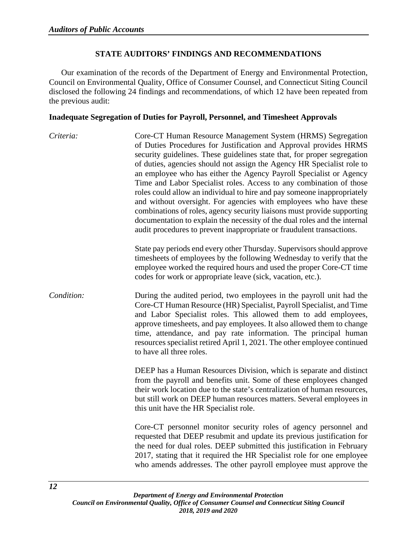#### **STATE AUDITORS' FINDINGS AND RECOMMENDATIONS**

<span id="page-15-0"></span>Our examination of the records of the Department of Energy and Environmental Protection, Council on Environmental Quality, Office of Consumer Counsel, and Connecticut Siting Council disclosed the following 24 findings and recommendations, of which 12 have been repeated from the previous audit:

#### <span id="page-15-1"></span>**Inadequate Segregation of Duties for Payroll, Personnel, and Timesheet Approvals**

*Criteria:* Core-CT Human Resource Management System (HRMS) Segregation of Duties Procedures for Justification and Approval provides HRMS security guidelines. These guidelines state that, for proper segregation of duties, agencies should not assign the Agency HR Specialist role to an employee who has either the Agency Payroll Specialist or Agency Time and Labor Specialist roles. Access to any combination of those roles could allow an individual to hire and pay someone inappropriately and without oversight. For agencies with employees who have these combinations of roles, agency security liaisons must provide supporting documentation to explain the necessity of the dual roles and the internal audit procedures to prevent inappropriate or fraudulent transactions. State pay periods end every other Thursday. Supervisors should approve timesheets of employees by the following Wednesday to verify that the employee worked the required hours and used the proper Core-CT time codes for work or appropriate leave (sick, vacation, etc.). *Condition:* During the audited period, two employees in the payroll unit had the Core-CT Human Resource (HR) Specialist, Payroll Specialist, and Time and Labor Specialist roles. This allowed them to add employees, approve timesheets, and pay employees. It also allowed them to change time, attendance, and pay rate information. The principal human resources specialist retired April 1, 2021. The other employee continued to have all three roles. DEEP has a Human Resources Division, which is separate and distinct from the payroll and benefits unit. Some of these employees changed

their work location due to the state's centralization of human resources, but still work on DEEP human resources matters. Several employees in this unit have the HR Specialist role.

Core-CT personnel monitor security roles of agency personnel and requested that DEEP resubmit and update its previous justification for the need for dual roles. DEEP submitted this justification in February 2017, stating that it required the HR Specialist role for one employee who amends addresses. The other payroll employee must approve the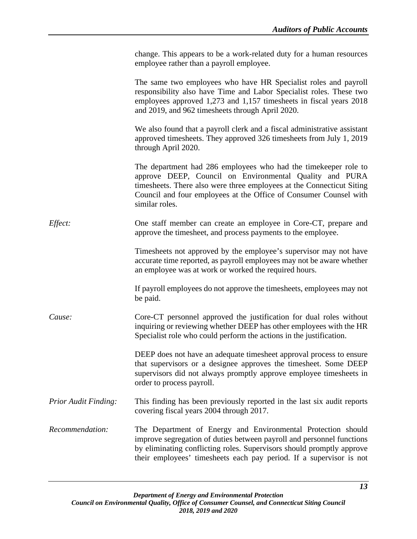|                             | change. This appears to be a work-related duty for a human resources<br>employee rather than a payroll employee.                                                                                                                                                                            |
|-----------------------------|---------------------------------------------------------------------------------------------------------------------------------------------------------------------------------------------------------------------------------------------------------------------------------------------|
|                             | The same two employees who have HR Specialist roles and payroll<br>responsibility also have Time and Labor Specialist roles. These two<br>employees approved 1,273 and 1,157 timesheets in fiscal years 2018<br>and 2019, and 962 timesheets through April 2020.                            |
|                             | We also found that a payroll clerk and a fiscal administrative assistant<br>approved timesheets. They approved 326 timesheets from July 1, 2019<br>through April 2020.                                                                                                                      |
|                             | The department had 286 employees who had the time keeper role to<br>approve DEEP, Council on Environmental Quality and PURA<br>timesheets. There also were three employees at the Connecticut Siting<br>Council and four employees at the Office of Consumer Counsel with<br>similar roles. |
| Effect:                     | One staff member can create an employee in Core-CT, prepare and<br>approve the timesheet, and process payments to the employee.                                                                                                                                                             |
|                             | Timesheets not approved by the employee's supervisor may not have<br>accurate time reported, as payroll employees may not be aware whether<br>an employee was at work or worked the required hours.                                                                                         |
|                             | If payroll employees do not approve the timesheets, employees may not<br>be paid.                                                                                                                                                                                                           |
| Cause:                      | Core-CT personnel approved the justification for dual roles without<br>inquiring or reviewing whether DEEP has other employees with the HR<br>Specialist role who could perform the actions in the justification.                                                                           |
|                             | DEEP does not have an adequate timesheet approval process to ensure<br>that supervisors or a designee approves the timesheet. Some DEEP<br>supervisors did not always promptly approve employee timesheets in<br>order to process payroll.                                                  |
| <b>Prior Audit Finding:</b> | This finding has been previously reported in the last six audit reports<br>covering fiscal years 2004 through 2017.                                                                                                                                                                         |
| Recommendation:             | The Department of Energy and Environmental Protection should<br>improve segregation of duties between payroll and personnel functions<br>by eliminating conflicting roles. Supervisors should promptly approve<br>their employees' timesheets each pay period. If a supervisor is not       |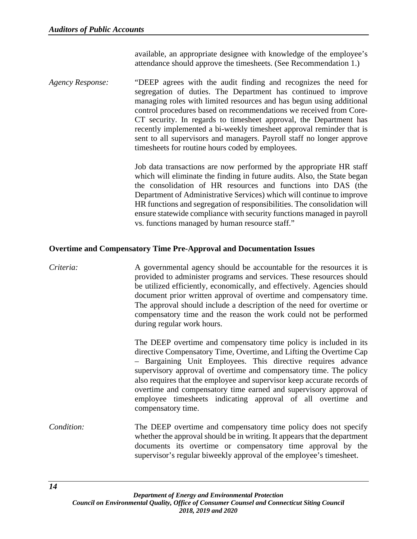available, an appropriate designee with knowledge of the employee's attendance should approve the timesheets. (See Recommendation 1.)

*Agency Response:* "DEEP agrees with the audit finding and recognizes the need for segregation of duties. The Department has continued to improve managing roles with limited resources and has begun using additional control procedures based on recommendations we received from Core-CT security. In regards to timesheet approval, the Department has recently implemented a bi-weekly timesheet approval reminder that is sent to all supervisors and managers. Payroll staff no longer approve timesheets for routine hours coded by employees.

> Job data transactions are now performed by the appropriate HR staff which will eliminate the finding in future audits. Also, the State began the consolidation of HR resources and functions into DAS (the Department of Administrative Services) which will continue to improve HR functions and segregation of responsibilities. The consolidation will ensure statewide compliance with security functions managed in payroll vs. functions managed by human resource staff."

#### <span id="page-17-0"></span>**Overtime and Compensatory Time Pre-Approval and Documentation Issues**

# *Criteria:* A governmental agency should be accountable for the resources it is provided to administer programs and services. These resources should be utilized efficiently, economically, and effectively. Agencies should document prior written approval of overtime and compensatory time. The approval should include a description of the need for overtime or compensatory time and the reason the work could not be performed during regular work hours.

The DEEP overtime and compensatory time policy is included in its directive Compensatory Time, Overtime, and Lifting the Overtime Cap – Bargaining Unit Employees. This directive requires advance supervisory approval of overtime and compensatory time. The policy also requires that the employee and supervisor keep accurate records of overtime and compensatory time earned and supervisory approval of employee timesheets indicating approval of all overtime and compensatory time.

*Condition:* The DEEP overtime and compensatory time policy does not specify whether the approval should be in writing. It appears that the department documents its overtime or compensatory time approval by the supervisor's regular biweekly approval of the employee's timesheet.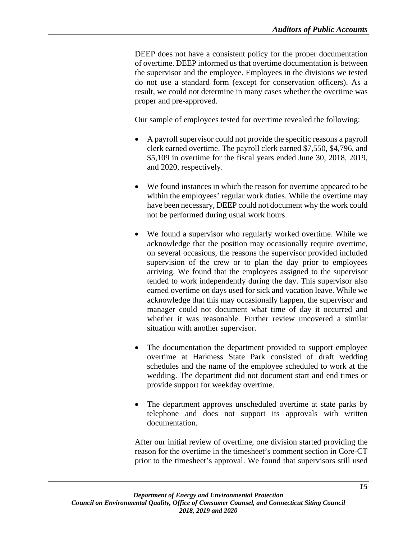DEEP does not have a consistent policy for the proper documentation of overtime. DEEP informed us that overtime documentation is between the supervisor and the employee. Employees in the divisions we tested do not use a standard form (except for conservation officers). As a result, we could not determine in many cases whether the overtime was proper and pre-approved.

Our sample of employees tested for overtime revealed the following:

- A payroll supervisor could not provide the specific reasons a payroll clerk earned overtime. The payroll clerk earned \$7,550, \$4,796, and \$5,109 in overtime for the fiscal years ended June 30, 2018, 2019, and 2020, respectively.
- We found instances in which the reason for overtime appeared to be within the employees' regular work duties. While the overtime may have been necessary, DEEP could not document why the work could not be performed during usual work hours.
- We found a supervisor who regularly worked overtime. While we acknowledge that the position may occasionally require overtime, on several occasions, the reasons the supervisor provided included supervision of the crew or to plan the day prior to employees arriving. We found that the employees assigned to the supervisor tended to work independently during the day. This supervisor also earned overtime on days used for sick and vacation leave. While we acknowledge that this may occasionally happen, the supervisor and manager could not document what time of day it occurred and whether it was reasonable. Further review uncovered a similar situation with another supervisor.
- The documentation the department provided to support employee overtime at Harkness State Park consisted of draft wedding schedules and the name of the employee scheduled to work at the wedding. The department did not document start and end times or provide support for weekday overtime.
- The department approves unscheduled overtime at state parks by telephone and does not support its approvals with written documentation.

After our initial review of overtime, one division started providing the reason for the overtime in the timesheet's comment section in Core-CT prior to the timesheet's approval. We found that supervisors still used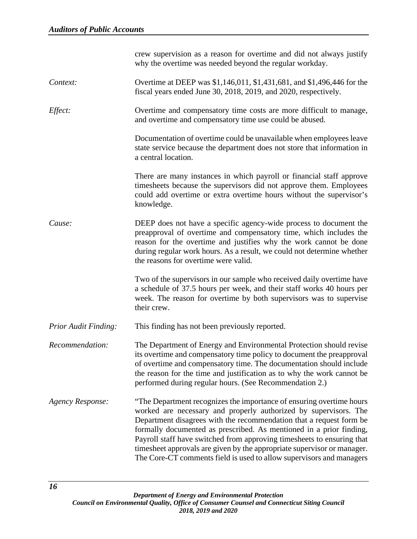|                             | crew supervision as a reason for overtime and did not always justify<br>why the overtime was needed beyond the regular workday.                                                                                                                                                                                                                                                                                                                                                                                     |
|-----------------------------|---------------------------------------------------------------------------------------------------------------------------------------------------------------------------------------------------------------------------------------------------------------------------------------------------------------------------------------------------------------------------------------------------------------------------------------------------------------------------------------------------------------------|
| Context:                    | Overtime at DEEP was \$1,146,011, \$1,431,681, and \$1,496,446 for the<br>fiscal years ended June 30, 2018, 2019, and 2020, respectively.                                                                                                                                                                                                                                                                                                                                                                           |
| Effect:                     | Overtime and compensatory time costs are more difficult to manage,<br>and overtime and compensatory time use could be abused.                                                                                                                                                                                                                                                                                                                                                                                       |
|                             | Documentation of overtime could be unavailable when employees leave<br>state service because the department does not store that information in<br>a central location.                                                                                                                                                                                                                                                                                                                                               |
|                             | There are many instances in which payroll or financial staff approve<br>timesheets because the supervisors did not approve them. Employees<br>could add overtime or extra overtime hours without the supervisor's<br>knowledge.                                                                                                                                                                                                                                                                                     |
| Cause:                      | DEEP does not have a specific agency-wide process to document the<br>preapproval of overtime and compensatory time, which includes the<br>reason for the overtime and justifies why the work cannot be done<br>during regular work hours. As a result, we could not determine whether<br>the reasons for overtime were valid.                                                                                                                                                                                       |
|                             | Two of the supervisors in our sample who received daily overtime have<br>a schedule of 37.5 hours per week, and their staff works 40 hours per<br>week. The reason for overtime by both supervisors was to supervise<br>their crew.                                                                                                                                                                                                                                                                                 |
| <b>Prior Audit Finding:</b> | This finding has not been previously reported.                                                                                                                                                                                                                                                                                                                                                                                                                                                                      |
| Recommendation:             | The Department of Energy and Environmental Protection should revise<br>its overtime and compensatory time policy to document the preapproval<br>of overtime and compensatory time. The documentation should include<br>the reason for the time and justification as to why the work cannot be<br>performed during regular hours. (See Recommendation 2.)                                                                                                                                                            |
| <b>Agency Response:</b>     | "The Department recognizes the importance of ensuring overtime hours<br>worked are necessary and properly authorized by supervisors. The<br>Department disagrees with the recommendation that a request form be<br>formally documented as prescribed. As mentioned in a prior finding,<br>Payroll staff have switched from approving timesheets to ensuring that<br>timesheet approvals are given by the appropriate supervisor or manager.<br>The Core-CT comments field is used to allow supervisors and managers |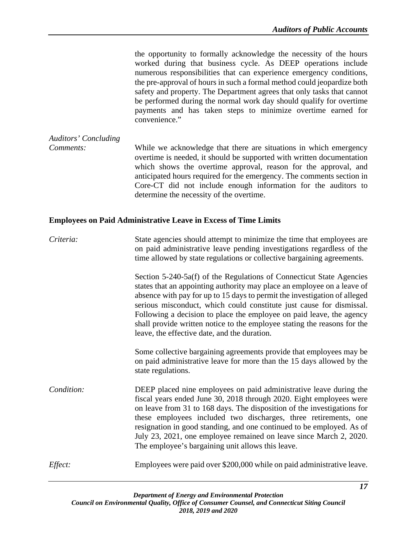the opportunity to formally acknowledge the necessity of the hours worked during that business cycle. As DEEP operations include numerous responsibilities that can experience emergency conditions, the pre-approval of hours in such a formal method could jeopardize both safety and property. The Department agrees that only tasks that cannot be performed during the normal work day should qualify for overtime payments and has taken steps to minimize overtime earned for convenience."

*Auditors' Concluding Comments:* While we acknowledge that there are situations in which emergency overtime is needed, it should be supported with written documentation which shows the overtime approval, reason for the approval, and anticipated hours required for the emergency. The comments section in Core-CT did not include enough information for the auditors to determine the necessity of the overtime.

#### <span id="page-20-0"></span>**Employees on Paid Administrative Leave in Excess of Time Limits**

*Criteria:* State agencies should attempt to minimize the time that employees are on paid administrative leave pending investigations regardless of the time allowed by state regulations or collective bargaining agreements.

> Section 5-240-5a(f) of the Regulations of Connecticut State Agencies states that an appointing authority may place an employee on a leave of absence with pay for up to 15 days to permit the investigation of alleged serious misconduct, which could constitute just cause for dismissal. Following a decision to place the employee on paid leave, the agency shall provide written notice to the employee stating the reasons for the leave, the effective date, and the duration.

> Some collective bargaining agreements provide that employees may be on paid administrative leave for more than the 15 days allowed by the state regulations.

*Condition:* DEEP placed nine employees on paid administrative leave during the fiscal years ended June 30, 2018 through 2020. Eight employees were on leave from 31 to 168 days. The disposition of the investigations for these employees included two discharges, three retirements, one resignation in good standing, and one continued to be employed. As of July 23, 2021, one employee remained on leave since March 2, 2020. The employee's bargaining unit allows this leave.

*Effect:* Employees were paid over \$200,000 while on paid administrative leave.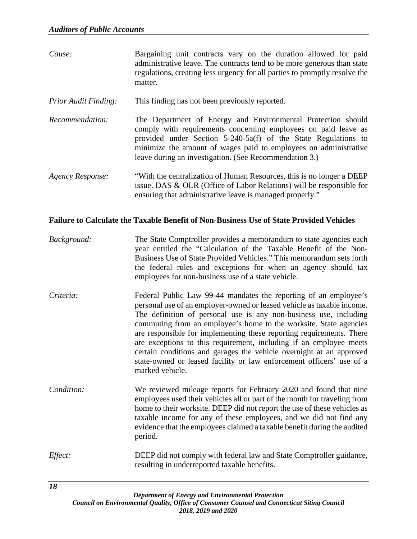- *Cause:* Bargaining unit contracts vary on the duration allowed for paid administrative leave. The contracts tend to be more generous than state regulations, creating less urgency for all parties to promptly resolve the matter.
- *Prior Audit Finding:* This finding has not been previously reported.
- *Recommendation:* The Department of Energy and Environmental Protection should comply with requirements concerning employees on paid leave as provided under Section 5-240-5a(f) of the State Regulations to minimize the amount of wages paid to employees on administrative leave during an investigation. (See Recommendation 3.)
- *Agency Response:* "With the centralization of Human Resources, this is no longer a DEEP issue. DAS & OLR (Office of Labor Relations) will be responsible for ensuring that administrative leave is managed properly."

#### <span id="page-21-0"></span>**Failure to Calculate the Taxable Benefit of Non-Business Use of State Provided Vehicles**

- *Background:* The State Comptroller provides a memorandum to state agencies each year entitled the "Calculation of the Taxable Benefit of the Non-Business Use of State Provided Vehicles." This memorandum sets forth the federal rules and exceptions for when an agency should tax employees for non-business use of a state vehicle.
- *Criteria:* Federal Public Law 99-44 mandates the reporting of an employee's personal use of an employer-owned or leased vehicle as taxable income. The definition of personal use is any non-business use, including commuting from an employee's home to the worksite. State agencies are responsible for implementing these reporting requirements. There are exceptions to this requirement, including if an employee meets certain conditions and garages the vehicle overnight at an approved state-owned or leased facility or law enforcement officers' use of a marked vehicle.
- *Condition:* We reviewed mileage reports for February 2020 and found that nine employees used their vehicles all or part of the month for traveling from home to their worksite. DEEP did not report the use of these vehicles as taxable income for any of these employees, and we did not find any evidence that the employees claimed a taxable benefit during the audited period.
- *Effect:* **DEEP** did not comply with federal law and State Comptroller guidance, resulting in underreported taxable benefits.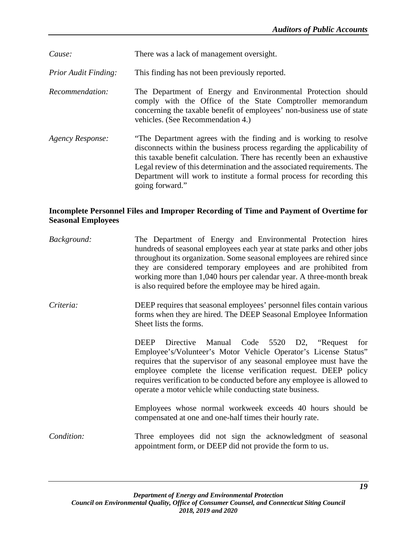*Cause:* There was a lack of management oversight.

*Prior Audit Finding:* This finding has not been previously reported.

*Recommendation:* The Department of Energy and Environmental Protection should comply with the Office of the State Comptroller memorandum concerning the taxable benefit of employees' non-business use of state vehicles. (See Recommendation 4.)

*Agency Response:* "The Department agrees with the finding and is working to resolve disconnects within the business process regarding the applicability of this taxable benefit calculation. There has recently been an exhaustive Legal review of this determination and the associated requirements. The Department will work to institute a formal process for recording this going forward."

# <span id="page-22-0"></span>**Incomplete Personnel Files and Improper Recording of Time and Payment of Overtime for Seasonal Employees**

| Background: | The Department of Energy and Environmental Protection hires<br>hundreds of seasonal employees each year at state parks and other jobs<br>throughout its organization. Some seasonal employees are rehired since<br>they are considered temporary employees and are prohibited from<br>working more than 1,040 hours per calendar year. A three-month break<br>is also required before the employee may be hired again. |
|-------------|------------------------------------------------------------------------------------------------------------------------------------------------------------------------------------------------------------------------------------------------------------------------------------------------------------------------------------------------------------------------------------------------------------------------|
| Criteria:   | DEEP requires that seasonal employees' personnel files contain various<br>forms when they are hired. The DEEP Seasonal Employee Information<br>Sheet lists the forms.                                                                                                                                                                                                                                                  |
|             | Manual Code 5520 D2, "Request<br><b>DEEP</b><br>Directive<br>for<br>Employee's/Volunteer's Motor Vehicle Operator's License Status"<br>requires that the supervisor of any seasonal employee must have the<br>employee complete the license verification request. DEEP policy<br>requires verification to be conducted before any employee is allowed to<br>operate a motor vehicle while conducting state business.   |
|             | Employees whose normal workweek exceeds 40 hours should be<br>compensated at one and one-half times their hourly rate.                                                                                                                                                                                                                                                                                                 |
| Condition:  | Three employees did not sign the acknowledgment of seasonal<br>appointment form, or DEEP did not provide the form to us.                                                                                                                                                                                                                                                                                               |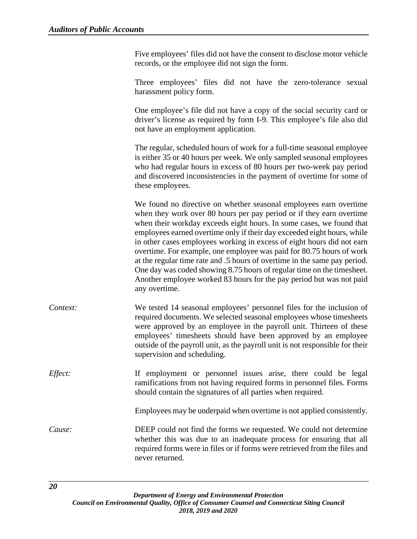Five employees' files did not have the consent to disclose motor vehicle records, or the employee did not sign the form.

Three employees' files did not have the zero-tolerance sexual harassment policy form.

One employee's file did not have a copy of the social security card or driver's license as required by form I-9. This employee's file also did not have an employment application.

The regular, scheduled hours of work for a full-time seasonal employee is either 35 or 40 hours per week. We only sampled seasonal employees who had regular hours in excess of 80 hours per two-week pay period and discovered inconsistencies in the payment of overtime for some of these employees.

We found no directive on whether seasonal employees earn overtime when they work over 80 hours per pay period or if they earn overtime when their workday exceeds eight hours. In some cases, we found that employees earned overtime only if their day exceeded eight hours, while in other cases employees working in excess of eight hours did not earn overtime. For example, one employee was paid for 80.75 hours of work at the regular time rate and .5 hours of overtime in the same pay period. One day was coded showing 8.75 hours of regular time on the timesheet. Another employee worked 83 hours for the pay period but was not paid any overtime.

*Context:* We tested 14 seasonal employees' personnel files for the inclusion of required documents. We selected seasonal employees whose timesheets were approved by an employee in the payroll unit. Thirteen of these employees' timesheets should have been approved by an employee outside of the payroll unit, as the payroll unit is not responsible for their supervision and scheduling.

*Effect:* If employment or personnel issues arise, there could be legal ramifications from not having required forms in personnel files. Forms should contain the signatures of all parties when required.

Employees may be underpaid when overtime is not applied consistently.

*Cause:* DEEP could not find the forms we requested. We could not determine whether this was due to an inadequate process for ensuring that all required forms were in files or if forms were retrieved from the files and never returned.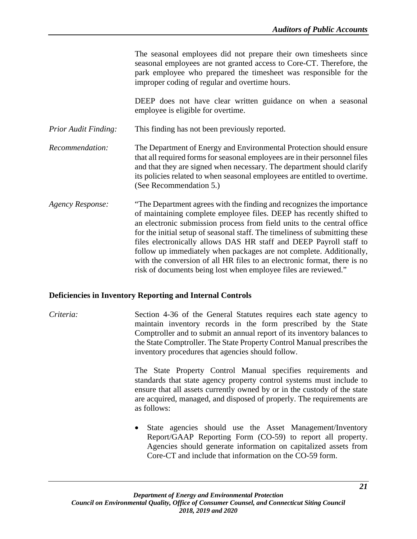The seasonal employees did not prepare their own timesheets since seasonal employees are not granted access to Core-CT. Therefore, the park employee who prepared the timesheet was responsible for the improper coding of regular and overtime hours.

DEEP does not have clear written guidance on when a seasonal employee is eligible for overtime.

*Prior Audit Finding:* This finding has not been previously reported.

*Recommendation:* The Department of Energy and Environmental Protection should ensure that all required forms for seasonal employees are in their personnel files and that they are signed when necessary. The department should clarify its policies related to when seasonal employees are entitled to overtime. (See Recommendation 5.)

*Agency Response:* "The Department agrees with the finding and recognizes the importance of maintaining complete employee files. DEEP has recently shifted to an electronic submission process from field units to the central office for the initial setup of seasonal staff. The timeliness of submitting these files electronically allows DAS HR staff and DEEP Payroll staff to follow up immediately when packages are not complete. Additionally, with the conversion of all HR files to an electronic format, there is no risk of documents being lost when employee files are reviewed."

#### <span id="page-24-0"></span>**Deficiencies in Inventory Reporting and Internal Controls**

*Criteria:* Section 4-36 of the General Statutes requires each state agency to maintain inventory records in the form prescribed by the State Comptroller and to submit an annual report of its inventory balances to the State Comptroller. The State Property Control Manual prescribes the inventory procedures that agencies should follow.

> The State Property Control Manual specifies requirements and standards that state agency property control systems must include to ensure that all assets currently owned by or in the custody of the state are acquired, managed, and disposed of properly. The requirements are as follows:

> • State agencies should use the Asset Management/Inventory Report/GAAP Reporting Form (CO-59) to report all property. Agencies should generate information on capitalized assets from Core-CT and include that information on the CO-59 form.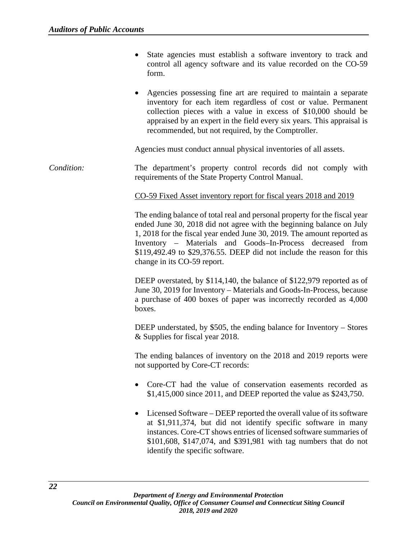- State agencies must establish a software inventory to track and control all agency software and its value recorded on the CO-59 form.
- Agencies possessing fine art are required to maintain a separate inventory for each item regardless of cost or value. Permanent collection pieces with a value in excess of \$10,000 should be appraised by an expert in the field every six years. This appraisal is recommended, but not required, by the Comptroller.

Agencies must conduct annual physical inventories of all assets.

*Condition:* The department's property control records did not comply with requirements of the State Property Control Manual.

#### CO-59 Fixed Asset inventory report for fiscal years 2018 and 2019

The ending balance of total real and personal property for the fiscal year ended June 30, 2018 did not agree with the beginning balance on July 1, 2018 for the fiscal year ended June 30, 2019. The amount reported as Inventory – Materials and Goods–In-Process decreased from \$119,492.49 to \$29,376.55. DEEP did not include the reason for this change in its CO-59 report.

DEEP overstated, by \$114,140, the balance of \$122,979 reported as of June 30, 2019 for Inventory – Materials and Goods-In-Process, because a purchase of 400 boxes of paper was incorrectly recorded as 4,000 boxes.

DEEP understated, by \$505, the ending balance for Inventory – Stores & Supplies for fiscal year 2018.

The ending balances of inventory on the 2018 and 2019 reports were not supported by Core-CT records:

- Core-CT had the value of conservation easements recorded as \$1,415,000 since 2011, and DEEP reported the value as \$243,750.
- Licensed Software DEEP reported the overall value of its software at \$1,911,374, but did not identify specific software in many instances. Core-CT shows entries of licensed software summaries of \$101,608, \$147,074, and \$391,981 with tag numbers that do not identify the specific software.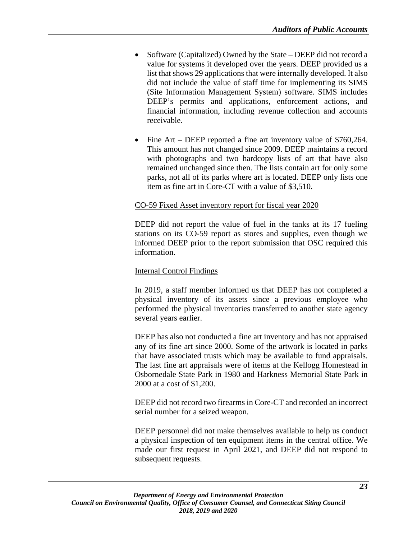- Software (Capitalized) Owned by the State DEEP did not record a value for systems it developed over the years. DEEP provided us a list that shows 29 applications that were internally developed. It also did not include the value of staff time for implementing its SIMS (Site Information Management System) software. SIMS includes DEEP's permits and applications, enforcement actions, and financial information, including revenue collection and accounts receivable.
- Fine Art DEEP reported a fine art inventory value of \$760,264. This amount has not changed since 2009. DEEP maintains a record with photographs and two hardcopy lists of art that have also remained unchanged since then. The lists contain art for only some parks, not all of its parks where art is located. DEEP only lists one item as fine art in Core-CT with a value of \$3,510.

#### CO-59 Fixed Asset inventory report for fiscal year 2020

DEEP did not report the value of fuel in the tanks at its 17 fueling stations on its CO-59 report as stores and supplies, even though we informed DEEP prior to the report submission that OSC required this information.

#### Internal Control Findings

In 2019, a staff member informed us that DEEP has not completed a physical inventory of its assets since a previous employee who performed the physical inventories transferred to another state agency several years earlier.

DEEP has also not conducted a fine art inventory and has not appraised any of its fine art since 2000. Some of the artwork is located in parks that have associated trusts which may be available to fund appraisals. The last fine art appraisals were of items at the Kellogg Homestead in Osbornedale State Park in 1980 and Harkness Memorial State Park in 2000 at a cost of \$1,200.

DEEP did not record two firearms in Core-CT and recorded an incorrect serial number for a seized weapon.

DEEP personnel did not make themselves available to help us conduct a physical inspection of ten equipment items in the central office. We made our first request in April 2021, and DEEP did not respond to subsequent requests.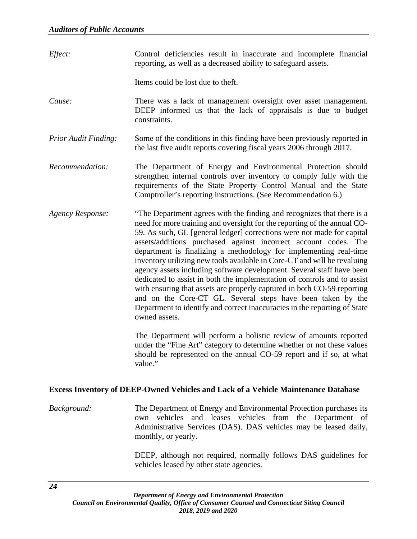| Effect:                     | Control deficiencies result in inaccurate and incomplete financial<br>reporting, as well as a decreased ability to safeguard assets.                                                                                                                                                                                                                                                                                                                                                                                                                                                                                                                                                                                                                                                                                                                                                                                                                                                                                                                                           |
|-----------------------------|--------------------------------------------------------------------------------------------------------------------------------------------------------------------------------------------------------------------------------------------------------------------------------------------------------------------------------------------------------------------------------------------------------------------------------------------------------------------------------------------------------------------------------------------------------------------------------------------------------------------------------------------------------------------------------------------------------------------------------------------------------------------------------------------------------------------------------------------------------------------------------------------------------------------------------------------------------------------------------------------------------------------------------------------------------------------------------|
|                             | Items could be lost due to theft.                                                                                                                                                                                                                                                                                                                                                                                                                                                                                                                                                                                                                                                                                                                                                                                                                                                                                                                                                                                                                                              |
| Cause:                      | There was a lack of management oversight over asset management.<br>DEEP informed us that the lack of appraisals is due to budget<br>constraints.                                                                                                                                                                                                                                                                                                                                                                                                                                                                                                                                                                                                                                                                                                                                                                                                                                                                                                                               |
| <b>Prior Audit Finding:</b> | Some of the conditions in this finding have been previously reported in<br>the last five audit reports covering fiscal years 2006 through 2017.                                                                                                                                                                                                                                                                                                                                                                                                                                                                                                                                                                                                                                                                                                                                                                                                                                                                                                                                |
| Recommendation:             | The Department of Energy and Environmental Protection should<br>strengthen internal controls over inventory to comply fully with the<br>requirements of the State Property Control Manual and the State<br>Comptroller's reporting instructions. (See Recommendation 6.)                                                                                                                                                                                                                                                                                                                                                                                                                                                                                                                                                                                                                                                                                                                                                                                                       |
| <b>Agency Response:</b>     | "The Department agrees with the finding and recognizes that there is a<br>need for more training and oversight for the reporting of the annual CO-<br>59. As such, GL [general ledger] corrections were not made for capital<br>assets/additions purchased against incorrect account codes. The<br>department is finalizing a methodology for implementing real-time<br>inventory utilizing new tools available in Core-CT and will be revaluing<br>agency assets including software development. Several staff have been<br>dedicated to assist in both the implementation of controls and to assist<br>with ensuring that assets are properly captured in both CO-59 reporting<br>and on the Core-CT GL. Several steps have been taken by the<br>Department to identify and correct inaccuracies in the reporting of State<br>owned assets.<br>The Department will perform a holistic review of amounts reported<br>under the "Fine Art" category to determine whether or not these values<br>should be represented on the annual CO-59 report and if so, at what<br>value." |

## <span id="page-27-0"></span>**Excess Inventory of DEEP-Owned Vehicles and Lack of a Vehicle Maintenance Database**

*Background:* The Department of Energy and Environmental Protection purchases its own vehicles and leases vehicles from the Department of Administrative Services (DAS). DAS vehicles may be leased daily, monthly, or yearly.

> DEEP, although not required, normally follows DAS guidelines for vehicles leased by other state agencies.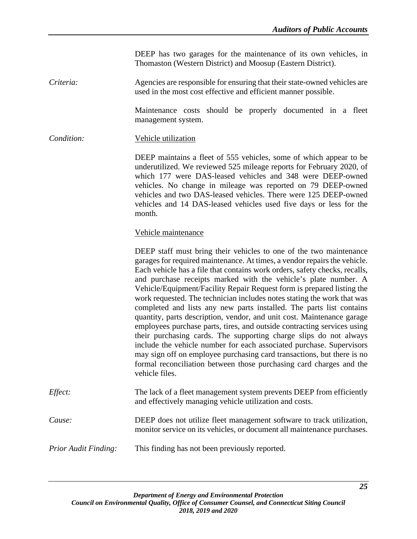DEEP has two garages for the maintenance of its own vehicles, in Thomaston (Western District) and Moosup (Eastern District).

*Criteria:* Agencies are responsible for ensuring that their state-owned vehicles are used in the most cost effective and efficient manner possible.

> Maintenance costs should be properly documented in a fleet management system.

*Condition:* Vehicle utilization

DEEP maintains a fleet of 555 vehicles, some of which appear to be underutilized. We reviewed 525 mileage reports for February 2020, of which 177 were DAS-leased vehicles and 348 were DEEP-owned vehicles. No change in mileage was reported on 79 DEEP-owned vehicles and two DAS-leased vehicles. There were 125 DEEP-owned vehicles and 14 DAS-leased vehicles used five days or less for the month.

#### Vehicle maintenance

DEEP staff must bring their vehicles to one of the two maintenance garages for required maintenance. At times, a vendor repairs the vehicle. Each vehicle has a file that contains work orders, safety checks, recalls, and purchase receipts marked with the vehicle's plate number. A Vehicle/Equipment/Facility Repair Request form is prepared listing the work requested. The technician includes notes stating the work that was completed and lists any new parts installed. The parts list contains quantity, parts description, vendor, and unit cost. Maintenance garage employees purchase parts, tires, and outside contracting services using their purchasing cards. The supporting charge slips do not always include the vehicle number for each associated purchase. Supervisors may sign off on employee purchasing card transactions, but there is no formal reconciliation between those purchasing card charges and the vehicle files. *Effect:* The lack of a fleet management system prevents DEEP from efficiently and effectively managing vehicle utilization and costs. *Cause:* DEEP does not utilize fleet management software to track utilization, monitor service on its vehicles, or document all maintenance purchases.

*Prior Audit Finding:* This finding has not been previously reported.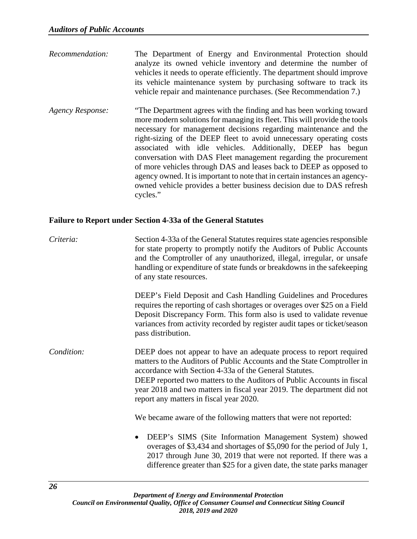- *Recommendation:* The Department of Energy and Environmental Protection should analyze its owned vehicle inventory and determine the number of vehicles it needs to operate efficiently. The department should improve its vehicle maintenance system by purchasing software to track its vehicle repair and maintenance purchases. (See Recommendation 7.)
- *Agency Response:* "The Department agrees with the finding and has been working toward more modern solutions for managing its fleet. This will provide the tools necessary for management decisions regarding maintenance and the right-sizing of the DEEP fleet to avoid unnecessary operating costs associated with idle vehicles. Additionally, DEEP has begun conversation with DAS Fleet management regarding the procurement of more vehicles through DAS and leases back to DEEP as opposed to agency owned. It is important to note that in certain instances an agencyowned vehicle provides a better business decision due to DAS refresh cycles."

# <span id="page-29-0"></span>**Failure to Report under Section 4-33a of the General Statutes**

*Criteria:* Section 4-33a of the General Statutes requires state agencies responsible for state property to promptly notify the Auditors of Public Accounts and the Comptroller of any unauthorized, illegal, irregular, or unsafe handling or expenditure of state funds or breakdowns in the safekeeping of any state resources.

> DEEP's Field Deposit and Cash Handling Guidelines and Procedures requires the reporting of cash shortages or overages over \$25 on a Field Deposit Discrepancy Form. This form also is used to validate revenue variances from activity recorded by register audit tapes or ticket/season pass distribution.

*Condition:* DEEP does not appear to have an adequate process to report required matters to the Auditors of Public Accounts and the State Comptroller in accordance with Section 4-33a of the General Statutes. DEEP reported two matters to the Auditors of Public Accounts in fiscal year 2018 and two matters in fiscal year 2019. The department did not report any matters in fiscal year 2020.

We became aware of the following matters that were not reported:

• DEEP's SIMS (Site Information Management System) showed overages of \$3,434 and shortages of \$5,090 for the period of July 1, 2017 through June 30, 2019 that were not reported. If there was a difference greater than \$25 for a given date, the state parks manager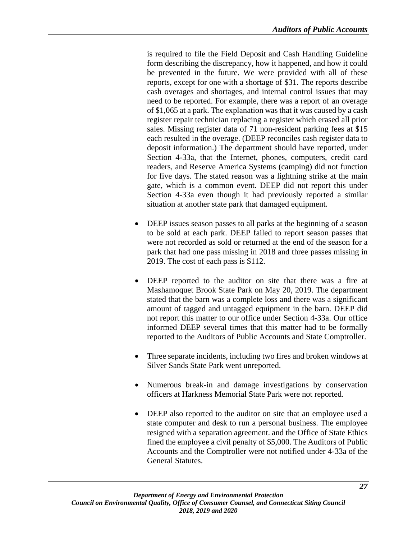is required to file the Field Deposit and Cash Handling Guideline form describing the discrepancy, how it happened, and how it could be prevented in the future. We were provided with all of these reports, except for one with a shortage of \$31. The reports describe cash overages and shortages, and internal control issues that may need to be reported. For example, there was a report of an overage of \$1,065 at a park. The explanation was that it was caused by a cash register repair technician replacing a register which erased all prior sales. Missing register data of 71 non-resident parking fees at \$15 each resulted in the overage. (DEEP reconciles cash register data to deposit information.) The department should have reported, under Section 4-33a, that the Internet, phones, computers, credit card readers, and Reserve America Systems (camping) did not function for five days. The stated reason was a lightning strike at the main gate, which is a common event. DEEP did not report this under Section 4-33a even though it had previously reported a similar situation at another state park that damaged equipment.

- DEEP issues season passes to all parks at the beginning of a season to be sold at each park. DEEP failed to report season passes that were not recorded as sold or returned at the end of the season for a park that had one pass missing in 2018 and three passes missing in 2019. The cost of each pass is \$112.
- DEEP reported to the auditor on site that there was a fire at Mashamoquet Brook State Park on May 20, 2019. The department stated that the barn was a complete loss and there was a significant amount of tagged and untagged equipment in the barn. DEEP did not report this matter to our office under Section 4-33a. Our office informed DEEP several times that this matter had to be formally reported to the Auditors of Public Accounts and State Comptroller.
- Three separate incidents, including two fires and broken windows at Silver Sands State Park went unreported.
- Numerous break-in and damage investigations by conservation officers at Harkness Memorial State Park were not reported.
- DEEP also reported to the auditor on site that an employee used a state computer and desk to run a personal business. The employee resigned with a separation agreement. and the Office of State Ethics fined the employee a civil penalty of \$5,000. The Auditors of Public Accounts and the Comptroller were not notified under 4-33a of the General Statutes.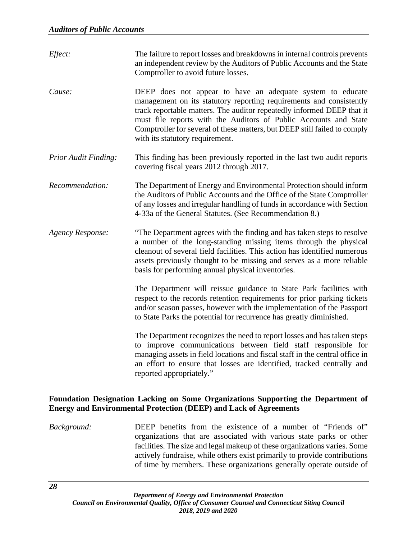| Effect:                     | The failure to report losses and breakdowns in internal controls prevents<br>an independent review by the Auditors of Public Accounts and the State<br>Comptroller to avoid future losses.                                                                                                                                                                                                      |
|-----------------------------|-------------------------------------------------------------------------------------------------------------------------------------------------------------------------------------------------------------------------------------------------------------------------------------------------------------------------------------------------------------------------------------------------|
| Cause:                      | DEEP does not appear to have an adequate system to educate<br>management on its statutory reporting requirements and consistently<br>track reportable matters. The auditor repeatedly informed DEEP that it<br>must file reports with the Auditors of Public Accounts and State<br>Comptroller for several of these matters, but DEEP still failed to comply<br>with its statutory requirement. |
| <b>Prior Audit Finding:</b> | This finding has been previously reported in the last two audit reports<br>covering fiscal years 2012 through 2017.                                                                                                                                                                                                                                                                             |
| Recommendation:             | The Department of Energy and Environmental Protection should inform<br>the Auditors of Public Accounts and the Office of the State Comptroller<br>of any losses and irregular handling of funds in accordance with Section<br>4-33a of the General Statutes. (See Recommendation 8.)                                                                                                            |
| <b>Agency Response:</b>     | "The Department agrees with the finding and has taken steps to resolve<br>a number of the long-standing missing items through the physical<br>cleanout of several field facilities. This action has identified numerous<br>assets previously thought to be missing and serves as a more reliable<br>basis for performing annual physical inventories.                                           |
|                             | The Department will reissue guidance to State Park facilities with<br>respect to the records retention requirements for prior parking tickets<br>and/or season passes, however with the implementation of the Passport<br>to State Parks the potential for recurrence has greatly diminished.                                                                                                   |
|                             | The Department recognizes the need to report losses and has taken steps<br>to improve communications between field staff responsible for<br>managing assets in field locations and fiscal staff in the central office in<br>an effort to ensure that losses are identified, tracked centrally and<br>reported appropriately."                                                                   |

#### <span id="page-31-0"></span>**Foundation Designation Lacking on Some Organizations Supporting the Department of Energy and Environmental Protection (DEEP) and Lack of Agreements**

*Background:* DEEP benefits from the existence of a number of "Friends of" organizations that are associated with various state parks or other facilities. The size and legal makeup of these organizations varies. Some actively fundraise, while others exist primarily to provide contributions of time by members. These organizations generally operate outside of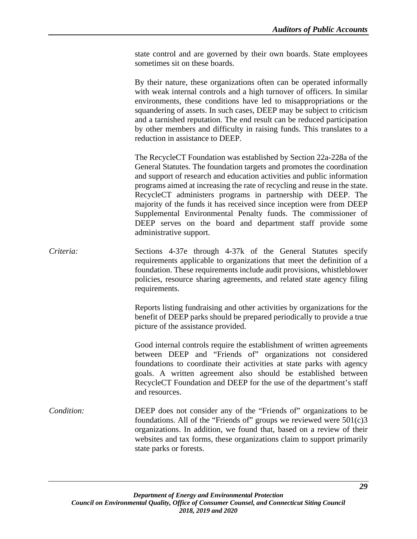state control and are governed by their own boards. State employees sometimes sit on these boards.

By their nature, these organizations often can be operated informally with weak internal controls and a high turnover of officers. In similar environments, these conditions have led to misappropriations or the squandering of assets. In such cases, DEEP may be subject to criticism and a tarnished reputation. The end result can be reduced participation by other members and difficulty in raising funds. This translates to a reduction in assistance to DEEP.

The RecycleCT Foundation was established by Section 22a-228a of the General Statutes. The foundation targets and promotes the coordination and support of research and education activities and public information programs aimed at increasing the rate of recycling and reuse in the state. RecycleCT administers programs in partnership with DEEP. The majority of the funds it has received since inception were from DEEP Supplemental Environmental Penalty funds. The commissioner of DEEP serves on the board and department staff provide some administrative support.

*Criteria:* Sections 4-37e through 4-37k of the General Statutes specify requirements applicable to organizations that meet the definition of a foundation. These requirements include audit provisions, whistleblower policies, resource sharing agreements, and related state agency filing requirements.

> Reports listing fundraising and other activities by organizations for the benefit of DEEP parks should be prepared periodically to provide a true picture of the assistance provided.

> Good internal controls require the establishment of written agreements between DEEP and "Friends of" organizations not considered foundations to coordinate their activities at state parks with agency goals. A written agreement also should be established between RecycleCT Foundation and DEEP for the use of the department's staff and resources.

*Condition:* DEEP does not consider any of the "Friends of" organizations to be foundations. All of the "Friends of" groups we reviewed were  $501(c)3$ organizations. In addition, we found that, based on a review of their websites and tax forms, these organizations claim to support primarily state parks or forests.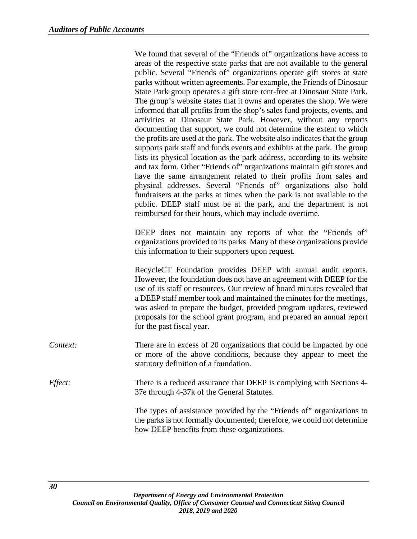We found that several of the "Friends of" organizations have access to areas of the respective state parks that are not available to the general public. Several "Friends of" organizations operate gift stores at state parks without written agreements. For example, the Friends of Dinosaur State Park group operates a gift store rent-free at Dinosaur State Park. The group's website states that it owns and operates the shop. We were informed that all profits from the shop's sales fund projects, events, and activities at Dinosaur State Park. However, without any reports documenting that support, we could not determine the extent to which the profits are used at the park. The website also indicates that the group supports park staff and funds events and exhibits at the park. The group lists its physical location as the park address, according to its website and tax form. Other "Friends of" organizations maintain gift stores and have the same arrangement related to their profits from sales and physical addresses. Several "Friends of" organizations also hold fundraisers at the parks at times when the park is not available to the public. DEEP staff must be at the park, and the department is not reimbursed for their hours, which may include overtime.

DEEP does not maintain any reports of what the "Friends of" organizations provided to its parks. Many of these organizations provide this information to their supporters upon request.

RecycleCT Foundation provides DEEP with annual audit reports. However, the foundation does not have an agreement with DEEP for the use of its staff or resources. Our review of board minutes revealed that a DEEP staff member took and maintained the minutes for the meetings, was asked to prepare the budget, provided program updates, reviewed proposals for the school grant program, and prepared an annual report for the past fiscal year.

- *Context:* There are in excess of 20 organizations that could be impacted by one or more of the above conditions, because they appear to meet the statutory definition of a foundation.
- *Effect:* There is a reduced assurance that DEEP is complying with Sections 4-37e through 4-37k of the General Statutes.

The types of assistance provided by the "Friends of" organizations to the parks is not formally documented; therefore, we could not determine how DEEP benefits from these organizations.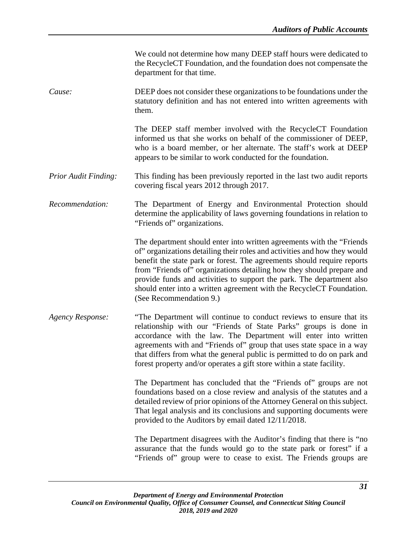We could not determine how many DEEP staff hours were dedicated to the RecycleCT Foundation, and the foundation does not compensate the department for that time.

*Cause:* DEEP does not consider these organizations to be foundations under the statutory definition and has not entered into written agreements with them.

> The DEEP staff member involved with the RecycleCT Foundation informed us that she works on behalf of the commissioner of DEEP, who is a board member, or her alternate. The staff's work at DEEP appears to be similar to work conducted for the foundation.

- *Prior Audit Finding:* This finding has been previously reported in the last two audit reports covering fiscal years 2012 through 2017.
- *Recommendation:* The Department of Energy and Environmental Protection should determine the applicability of laws governing foundations in relation to "Friends of" organizations.

The department should enter into written agreements with the "Friends of" organizations detailing their roles and activities and how they would benefit the state park or forest. The agreements should require reports from "Friends of" organizations detailing how they should prepare and provide funds and activities to support the park. The department also should enter into a written agreement with the RecycleCT Foundation. (See Recommendation 9.)

*Agency Response:* "The Department will continue to conduct reviews to ensure that its relationship with our "Friends of State Parks" groups is done in accordance with the law. The Department will enter into written agreements with and "Friends of" group that uses state space in a way that differs from what the general public is permitted to do on park and forest property and/or operates a gift store within a state facility.

> The Department has concluded that the "Friends of" groups are not foundations based on a close review and analysis of the statutes and a detailed review of prior opinions of the Attorney General on this subject. That legal analysis and its conclusions and supporting documents were provided to the Auditors by email dated 12/11/2018.

> The Department disagrees with the Auditor's finding that there is "no assurance that the funds would go to the state park or forest" if a "Friends of" group were to cease to exist. The Friends groups are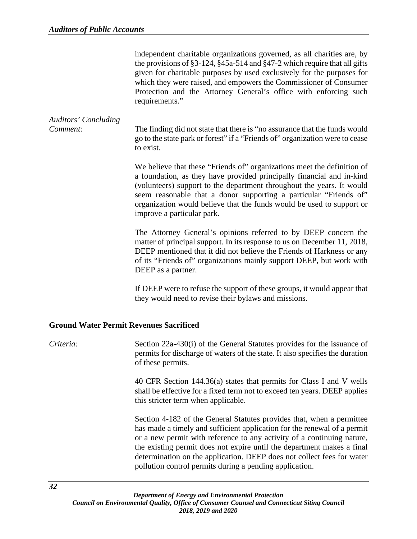independent charitable organizations governed, as all charities are, by the provisions of §3-124, §45a-514 and §47-2 which require that all gifts given for charitable purposes by used exclusively for the purposes for which they were raised, and empowers the Commissioner of Consumer Protection and the Attorney General's office with enforcing such requirements."

# *Auditors' Concluding*

*Comment:* The finding did not state that there is "no assurance that the funds would go to the state park or forest" if a "Friends of" organization were to cease to exist.

> We believe that these "Friends of" organizations meet the definition of a foundation, as they have provided principally financial and in-kind (volunteers) support to the department throughout the years. It would seem reasonable that a donor supporting a particular "Friends of" organization would believe that the funds would be used to support or improve a particular park.

> The Attorney General's opinions referred to by DEEP concern the matter of principal support. In its response to us on December 11, 2018, DEEP mentioned that it did not believe the Friends of Harkness or any of its "Friends of" organizations mainly support DEEP, but work with DEEP as a partner.

> If DEEP were to refuse the support of these groups, it would appear that they would need to revise their bylaws and missions.

# <span id="page-35-0"></span>**Ground Water Permit Revenues Sacrificed**

*Criteria:* Section 22a-430(i) of the General Statutes provides for the issuance of permits for discharge of waters of the state. It also specifies the duration of these permits.

> 40 CFR Section 144.36(a) states that permits for Class I and V wells shall be effective for a fixed term not to exceed ten years. DEEP applies this stricter term when applicable.

> Section 4-182 of the General Statutes provides that, when a permittee has made a timely and sufficient application for the renewal of a permit or a new permit with reference to any activity of a continuing nature, the existing permit does not expire until the department makes a final determination on the application. DEEP does not collect fees for water pollution control permits during a pending application.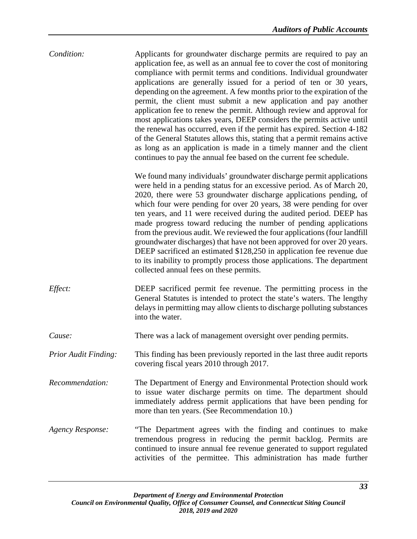| Condition: | Applicants for groundwater discharge permits are required to pay an<br>application fee, as well as an annual fee to cover the cost of monitoring<br>compliance with permit terms and conditions. Individual groundwater<br>applications are generally issued for a period of ten or 30 years,<br>depending on the agreement. A few months prior to the expiration of the<br>permit, the client must submit a new application and pay another<br>application fee to renew the permit. Although review and approval for<br>most applications takes years, DEEP considers the permits active until<br>the renewal has occurred, even if the permit has expired. Section 4-182<br>of the General Statutes allows this, stating that a permit remains active<br>as long as an application is made in a timely manner and the client<br>continues to pay the annual fee based on the current fee schedule. |
|------------|------------------------------------------------------------------------------------------------------------------------------------------------------------------------------------------------------------------------------------------------------------------------------------------------------------------------------------------------------------------------------------------------------------------------------------------------------------------------------------------------------------------------------------------------------------------------------------------------------------------------------------------------------------------------------------------------------------------------------------------------------------------------------------------------------------------------------------------------------------------------------------------------------|
|            | We found many individuals' groundwater discharge permit applications<br>were held in a pending status for an excessive period. As of March 20,<br>2020, there were 53 groundwater discharge applications pending, of                                                                                                                                                                                                                                                                                                                                                                                                                                                                                                                                                                                                                                                                                 |

2020, there were 53 groundwater discharge applications pending, of which four were pending for over 20 years, 38 were pending for over ten years, and 11 were received during the audited period. DEEP has made progress toward reducing the number of pending applications from the previous audit. We reviewed the four applications (four landfill groundwater discharges) that have not been approved for over 20 years. DEEP sacrificed an estimated \$128,250 in application fee revenue due to its inability to promptly process those applications. The department collected annual fees on these permits.

*Effect:* **DEEP** sacrificed permit fee revenue. The permitting process in the General Statutes is intended to protect the state's waters. The lengthy delays in permitting may allow clients to discharge polluting substances into the water.

*Cause:* There was a lack of management oversight over pending permits.

- *Prior Audit Finding:* This finding has been previously reported in the last three audit reports covering fiscal years 2010 through 2017.
- *Recommendation:* The Department of Energy and Environmental Protection should work to issue water discharge permits on time. The department should immediately address permit applications that have been pending for more than ten years. (See Recommendation 10.)
- *Agency Response:* "The Department agrees with the finding and continues to make tremendous progress in reducing the permit backlog. Permits are continued to insure annual fee revenue generated to support regulated activities of the permittee. This administration has made further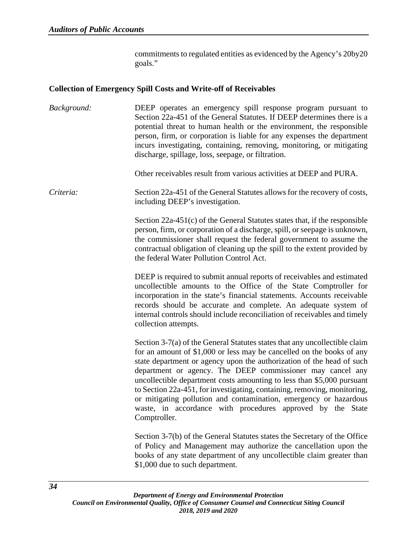commitments to regulated entities as evidenced by the Agency's 20by20 goals."

#### **Collection of Emergency Spill Costs and Write-off of Receivables**

*Background:* DEEP operates an emergency spill response program pursuant to Section 22a-451 of the General Statutes. If DEEP determines there is a potential threat to human health or the environment, the responsible person, firm, or corporation is liable for any expenses the department incurs investigating, containing, removing, monitoring, or mitigating discharge, spillage, loss, seepage, or filtration.

Other receivables result from various activities at DEEP and PURA.

*Criteria:* Section 22a-451 of the General Statutes allows for the recovery of costs, including DEEP's investigation.

> Section 22a-451(c) of the General Statutes states that, if the responsible person, firm, or corporation of a discharge, spill, or seepage is unknown, the commissioner shall request the federal government to assume the contractual obligation of cleaning up the spill to the extent provided by the federal Water Pollution Control Act.

> DEEP is required to submit annual reports of receivables and estimated uncollectible amounts to the Office of the State Comptroller for incorporation in the state's financial statements. Accounts receivable records should be accurate and complete. An adequate system of internal controls should include reconciliation of receivables and timely collection attempts.

> Section 3-7(a) of the General Statutes states that any uncollectible claim for an amount of \$1,000 or less may be cancelled on the books of any state department or agency upon the authorization of the head of such department or agency. The DEEP commissioner may cancel any uncollectible department costs amounting to less than \$5,000 pursuant to Section 22a-451, for investigating, containing, removing, monitoring, or mitigating pollution and contamination, emergency or hazardous waste, in accordance with procedures approved by the State Comptroller.

> Section 3-7(b) of the General Statutes states the Secretary of the Office of Policy and Management may authorize the cancellation upon the books of any state department of any uncollectible claim greater than \$1,000 due to such department.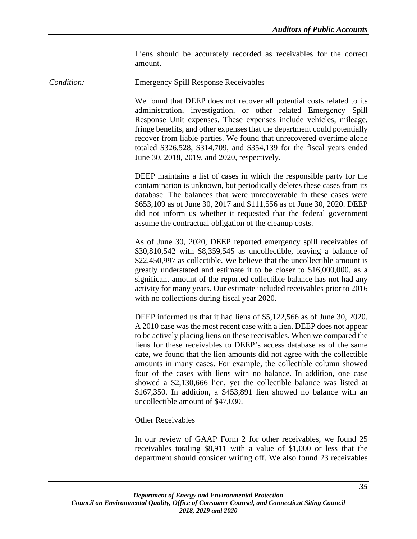Liens should be accurately recorded as receivables for the correct amount.

*Condition:* Emergency Spill Response Receivables

We found that DEEP does not recover all potential costs related to its administration, investigation, or other related Emergency Spill Response Unit expenses. These expenses include vehicles, mileage, fringe benefits, and other expenses that the department could potentially recover from liable parties. We found that unrecovered overtime alone totaled \$326,528, \$314,709, and \$354,139 for the fiscal years ended June 30, 2018, 2019, and 2020, respectively.

DEEP maintains a list of cases in which the responsible party for the contamination is unknown, but periodically deletes these cases from its database. The balances that were unrecoverable in these cases were \$653,109 as of June 30, 2017 and \$111,556 as of June 30, 2020. DEEP did not inform us whether it requested that the federal government assume the contractual obligation of the cleanup costs.

As of June 30, 2020, DEEP reported emergency spill receivables of \$30,810,542 with \$8,359,545 as uncollectible, leaving a balance of \$22,450,997 as collectible. We believe that the uncollectible amount is greatly understated and estimate it to be closer to \$16,000,000, as a significant amount of the reported collectible balance has not had any activity for many years. Our estimate included receivables prior to 2016 with no collections during fiscal year 2020.

DEEP informed us that it had liens of \$5,122,566 as of June 30, 2020. A 2010 case was the most recent case with a lien. DEEP does not appear to be actively placing liens on these receivables. When we compared the liens for these receivables to DEEP's access database as of the same date, we found that the lien amounts did not agree with the collectible amounts in many cases. For example, the collectible column showed four of the cases with liens with no balance. In addition, one case showed a \$2,130,666 lien, yet the collectible balance was listed at \$167,350. In addition, a \$453,891 lien showed no balance with an uncollectible amount of \$47,030.

# Other Receivables

In our review of GAAP Form 2 for other receivables, we found 25 receivables totaling \$8,911 with a value of \$1,000 or less that the department should consider writing off. We also found 23 receivables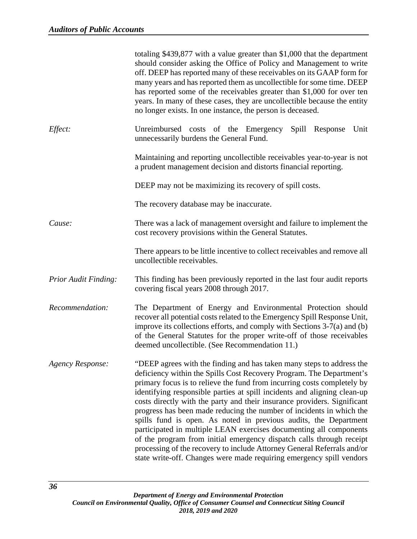|                             | totaling $$439,877$ with a value greater than $$1,000$ that the department<br>should consider asking the Office of Policy and Management to write<br>off. DEEP has reported many of these receivables on its GAAP form for<br>many years and has reported them as uncollectible for some time. DEEP<br>has reported some of the receivables greater than \$1,000 for over ten<br>years. In many of these cases, they are uncollectible because the entity<br>no longer exists. In one instance, the person is deceased.                                                                                                                                                                                                                                                                                                       |
|-----------------------------|-------------------------------------------------------------------------------------------------------------------------------------------------------------------------------------------------------------------------------------------------------------------------------------------------------------------------------------------------------------------------------------------------------------------------------------------------------------------------------------------------------------------------------------------------------------------------------------------------------------------------------------------------------------------------------------------------------------------------------------------------------------------------------------------------------------------------------|
| Effect:                     | Unreimbursed costs of the Emergency<br>Spill Response<br>Unit<br>unnecessarily burdens the General Fund.                                                                                                                                                                                                                                                                                                                                                                                                                                                                                                                                                                                                                                                                                                                      |
|                             | Maintaining and reporting uncollectible receivables year-to-year is not<br>a prudent management decision and distorts financial reporting.                                                                                                                                                                                                                                                                                                                                                                                                                                                                                                                                                                                                                                                                                    |
|                             | DEEP may not be maximizing its recovery of spill costs.                                                                                                                                                                                                                                                                                                                                                                                                                                                                                                                                                                                                                                                                                                                                                                       |
|                             | The recovery database may be inaccurate.                                                                                                                                                                                                                                                                                                                                                                                                                                                                                                                                                                                                                                                                                                                                                                                      |
| Cause:                      | There was a lack of management oversight and failure to implement the<br>cost recovery provisions within the General Statutes.                                                                                                                                                                                                                                                                                                                                                                                                                                                                                                                                                                                                                                                                                                |
|                             | There appears to be little incentive to collect receivables and remove all<br>uncollectible receivables.                                                                                                                                                                                                                                                                                                                                                                                                                                                                                                                                                                                                                                                                                                                      |
| <b>Prior Audit Finding:</b> | This finding has been previously reported in the last four audit reports<br>covering fiscal years 2008 through 2017.                                                                                                                                                                                                                                                                                                                                                                                                                                                                                                                                                                                                                                                                                                          |
| Recommendation:             | The Department of Energy and Environmental Protection should<br>recover all potential costs related to the Emergency Spill Response Unit,<br>improve its collections efforts, and comply with Sections 3-7(a) and (b)<br>of the General Statutes for the proper write-off of those receivables<br>deemed uncollectible. (See Recommendation 11.)                                                                                                                                                                                                                                                                                                                                                                                                                                                                              |
| <b>Agency Response:</b>     | "DEEP agrees with the finding and has taken many steps to address the<br>deficiency within the Spills Cost Recovery Program. The Department's<br>primary focus is to relieve the fund from incurring costs completely by<br>identifying responsible parties at spill incidents and aligning clean-up<br>costs directly with the party and their insurance providers. Significant<br>progress has been made reducing the number of incidents in which the<br>spills fund is open. As noted in previous audits, the Department<br>participated in multiple LEAN exercises documenting all components<br>of the program from initial emergency dispatch calls through receipt<br>processing of the recovery to include Attorney General Referrals and/or<br>state write-off. Changes were made requiring emergency spill vendors |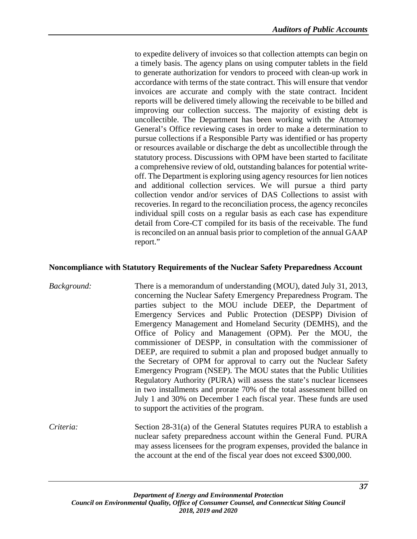to expedite delivery of invoices so that collection attempts can begin on a timely basis. The agency plans on using computer tablets in the field to generate authorization for vendors to proceed with clean-up work in accordance with terms of the state contract. This will ensure that vendor invoices are accurate and comply with the state contract. Incident reports will be delivered timely allowing the receivable to be billed and improving our collection success. The majority of existing debt is uncollectible. The Department has been working with the Attorney General's Office reviewing cases in order to make a determination to pursue collections if a Responsible Party was identified or has property or resources available or discharge the debt as uncollectible through the statutory process. Discussions with OPM have been started to facilitate a comprehensive review of old, outstanding balances for potential writeoff. The Department is exploring using agency resources for lien notices and additional collection services. We will pursue a third party collection vendor and/or services of DAS Collections to assist with recoveries. In regard to the reconciliation process, the agency reconciles individual spill costs on a regular basis as each case has expenditure detail from Core-CT compiled for its basis of the receivable. The fund is reconciled on an annual basis prior to completion of the annual GAAP report."

#### **Noncompliance with Statutory Requirements of the Nuclear Safety Preparedness Account**

- *Background:* There is a memorandum of understanding (MOU), dated July 31, 2013, concerning the Nuclear Safety Emergency Preparedness Program. The parties subject to the MOU include DEEP, the Department of Emergency Services and Public Protection (DESPP) Division of Emergency Management and Homeland Security (DEMHS), and the Office of Policy and Management (OPM). Per the MOU, the commissioner of DESPP, in consultation with the commissioner of DEEP, are required to submit a plan and proposed budget annually to the Secretary of OPM for approval to carry out the Nuclear Safety Emergency Program (NSEP). The MOU states that the Public Utilities Regulatory Authority (PURA) will assess the state's nuclear licensees in two installments and prorate 70% of the total assessment billed on July 1 and 30% on December 1 each fiscal year. These funds are used to support the activities of the program.
- *Criteria:* Section 28-31(a) of the General Statutes requires PURA to establish a nuclear safety preparedness account within the General Fund. PURA may assess licensees for the program expenses, provided the balance in the account at the end of the fiscal year does not exceed \$300,000.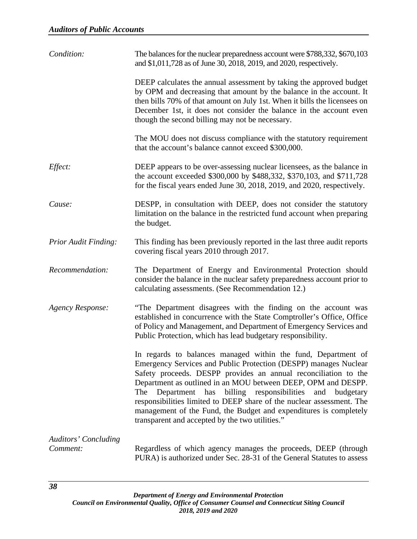| Condition:                              | The balances for the nuclear preparedness account were \$788,332, \$670,103<br>and \$1,011,728 as of June 30, 2018, 2019, and 2020, respectively.                                                                                                                                                                                                                                                                                                                                                                                         |
|-----------------------------------------|-------------------------------------------------------------------------------------------------------------------------------------------------------------------------------------------------------------------------------------------------------------------------------------------------------------------------------------------------------------------------------------------------------------------------------------------------------------------------------------------------------------------------------------------|
|                                         | DEEP calculates the annual assessment by taking the approved budget<br>by OPM and decreasing that amount by the balance in the account. It<br>then bills 70% of that amount on July 1st. When it bills the licensees on<br>December 1st, it does not consider the balance in the account even<br>though the second billing may not be necessary.                                                                                                                                                                                          |
|                                         | The MOU does not discuss compliance with the statutory requirement<br>that the account's balance cannot exceed \$300,000.                                                                                                                                                                                                                                                                                                                                                                                                                 |
| Effect:                                 | DEEP appears to be over-assessing nuclear licensees, as the balance in<br>the account exceeded \$300,000 by \$488,332, \$370,103, and \$711,728<br>for the fiscal years ended June 30, 2018, 2019, and 2020, respectively.                                                                                                                                                                                                                                                                                                                |
| Cause:                                  | DESPP, in consultation with DEEP, does not consider the statutory<br>limitation on the balance in the restricted fund account when preparing<br>the budget.                                                                                                                                                                                                                                                                                                                                                                               |
| <b>Prior Audit Finding:</b>             | This finding has been previously reported in the last three audit reports<br>covering fiscal years 2010 through 2017.                                                                                                                                                                                                                                                                                                                                                                                                                     |
| Recommendation:                         | The Department of Energy and Environmental Protection should<br>consider the balance in the nuclear safety preparedness account prior to<br>calculating assessments. (See Recommendation 12.)                                                                                                                                                                                                                                                                                                                                             |
| <b>Agency Response:</b>                 | "The Department disagrees with the finding on the account was<br>established in concurrence with the State Comptroller's Office, Office<br>of Policy and Management, and Department of Emergency Services and<br>Public Protection, which has lead budgetary responsibility.                                                                                                                                                                                                                                                              |
|                                         | In regards to balances managed within the fund, Department of<br>Emergency Services and Public Protection (DESPP) manages Nuclear<br>Safety proceeds. DESPP provides an annual reconciliation to the<br>Department as outlined in an MOU between DEEP, OPM and DESPP.<br>The Department has billing responsibilities<br>and<br>budgetary<br>responsibilities limited to DEEP share of the nuclear assessment. The<br>management of the Fund, the Budget and expenditures is completely<br>transparent and accepted by the two utilities." |
| <b>Auditors' Concluding</b><br>Comment: | Regardless of which agency manages the proceeds, DEEP (through<br>PURA) is authorized under Sec. 28-31 of the General Statutes to assess                                                                                                                                                                                                                                                                                                                                                                                                  |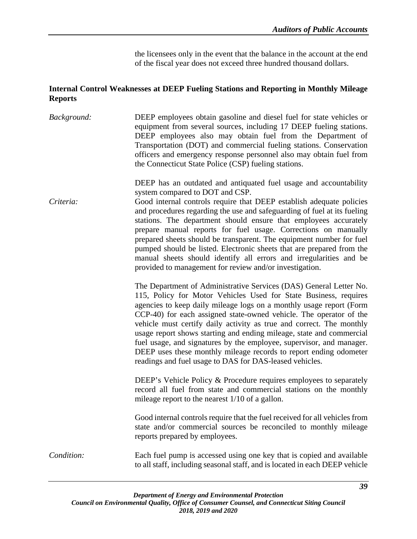the licensees only in the event that the balance in the account at the end of the fiscal year does not exceed three hundred thousand dollars.

## **Internal Control Weaknesses at DEEP Fueling Stations and Reporting in Monthly Mileage Reports**

| Background: | DEEP employees obtain gasoline and diesel fuel for state vehicles or<br>equipment from several sources, including 17 DEEP fueling stations.<br>DEEP employees also may obtain fuel from the Department of<br>Transportation (DOT) and commercial fueling stations. Conservation<br>officers and emergency response personnel also may obtain fuel from<br>the Connecticut State Police (CSP) fueling stations.                                                                                                                                                                                                                                                                   |
|-------------|----------------------------------------------------------------------------------------------------------------------------------------------------------------------------------------------------------------------------------------------------------------------------------------------------------------------------------------------------------------------------------------------------------------------------------------------------------------------------------------------------------------------------------------------------------------------------------------------------------------------------------------------------------------------------------|
| Criteria:   | DEEP has an outdated and antiquated fuel usage and accountability<br>system compared to DOT and CSP.<br>Good internal controls require that DEEP establish adequate policies<br>and procedures regarding the use and safeguarding of fuel at its fueling<br>stations. The department should ensure that employees accurately<br>prepare manual reports for fuel usage. Corrections on manually<br>prepared sheets should be transparent. The equipment number for fuel<br>pumped should be listed. Electronic sheets that are prepared from the<br>manual sheets should identify all errors and irregularities and be<br>provided to management for review and/or investigation. |
|             | The Department of Administrative Services (DAS) General Letter No.<br>115, Policy for Motor Vehicles Used for State Business, requires<br>agencies to keep daily mileage logs on a monthly usage report (Form<br>CCP-40) for each assigned state-owned vehicle. The operator of the<br>vehicle must certify daily activity as true and correct. The monthly<br>usage report shows starting and ending mileage, state and commercial<br>fuel usage, and signatures by the employee, supervisor, and manager.<br>DEEP uses these monthly mileage records to report ending odometer<br>readings and fuel usage to DAS for DAS-leased vehicles.                                      |
|             | DEEP's Vehicle Policy & Procedure requires employees to separately<br>record all fuel from state and commercial stations on the monthly<br>mileage report to the nearest $1/10$ of a gallon.                                                                                                                                                                                                                                                                                                                                                                                                                                                                                     |
|             | Good internal controls require that the fuel received for all vehicles from<br>state and/or commercial sources be reconciled to monthly mileage<br>reports prepared by employees.                                                                                                                                                                                                                                                                                                                                                                                                                                                                                                |
| Condition:  | Each fuel pump is accessed using one key that is copied and available<br>to all staff, including seasonal staff, and is located in each DEEP vehicle                                                                                                                                                                                                                                                                                                                                                                                                                                                                                                                             |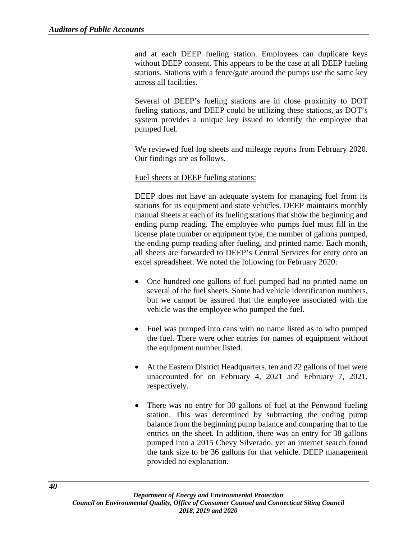and at each DEEP fueling station. Employees can duplicate keys without DEEP consent. This appears to be the case at all DEEP fueling stations. Stations with a fence/gate around the pumps use the same key across all facilities.

Several of DEEP's fueling stations are in close proximity to DOT fueling stations, and DEEP could be utilizing these stations, as DOT's system provides a unique key issued to identify the employee that pumped fuel.

We reviewed fuel log sheets and mileage reports from February 2020. Our findings are as follows.

## Fuel sheets at DEEP fueling stations:

DEEP does not have an adequate system for managing fuel from its stations for its equipment and state vehicles. DEEP maintains monthly manual sheets at each of its fueling stations that show the beginning and ending pump reading. The employee who pumps fuel must fill in the license plate number or equipment type, the number of gallons pumped, the ending pump reading after fueling, and printed name. Each month, all sheets are forwarded to DEEP's Central Services for entry onto an excel spreadsheet. We noted the following for February 2020:

- One hundred one gallons of fuel pumped had no printed name on several of the fuel sheets. Some had vehicle identification numbers, but we cannot be assured that the employee associated with the vehicle was the employee who pumped the fuel.
- Fuel was pumped into cans with no name listed as to who pumped the fuel. There were other entries for names of equipment without the equipment number listed.
- At the Eastern District Headquarters, ten and 22 gallons of fuel were unaccounted for on February 4, 2021 and February 7, 2021, respectively.
- There was no entry for 30 gallons of fuel at the Penwood fueling station. This was determined by subtracting the ending pump balance from the beginning pump balance and comparing that to the entries on the sheet. In addition, there was an entry for 38 gallons pumped into a 2015 Chevy Silverado, yet an internet search found the tank size to be 36 gallons for that vehicle. DEEP management provided no explanation.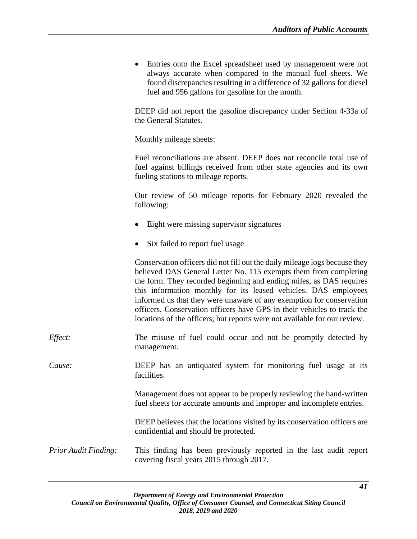• Entries onto the Excel spreadsheet used by management were not always accurate when compared to the manual fuel sheets. We found discrepancies resulting in a difference of 32 gallons for diesel fuel and 956 gallons for gasoline for the month.

DEEP did not report the gasoline discrepancy under Section 4-33a of the General Statutes.

Monthly mileage sheets:

Fuel reconciliations are absent. DEEP does not reconcile total use of fuel against billings received from other state agencies and its own fueling stations to mileage reports.

Our review of 50 mileage reports for February 2020 revealed the following:

- Eight were missing supervisor signatures
- Six failed to report fuel usage

Conservation officers did not fill out the daily mileage logs because they believed DAS General Letter No. 115 exempts them from completing the form. They recorded beginning and ending miles, as DAS requires this information monthly for its leased vehicles. DAS employees informed us that they were unaware of any exemption for conservation officers. Conservation officers have GPS in their vehicles to track the locations of the officers, but reports were not available for our review.

*Effect:* The misuse of fuel could occur and not be promptly detected by management.

*Cause:* DEEP has an antiquated system for monitoring fuel usage at its facilities.

> Management does not appear to be properly reviewing the hand-written fuel sheets for accurate amounts and improper and incomplete entries.

> DEEP believes that the locations visited by its conservation officers are confidential and should be protected.

*Prior Audit Finding:* This finding has been previously reported in the last audit report covering fiscal years 2015 through 2017.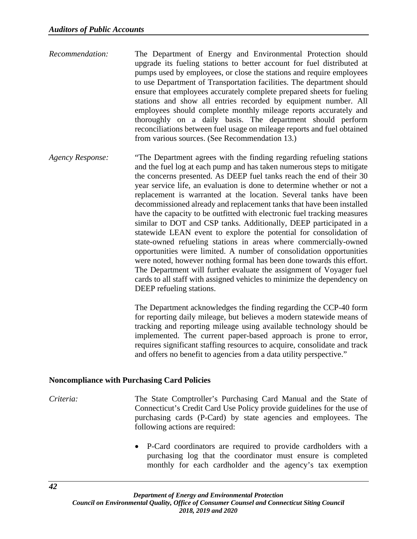- *Recommendation:* The Department of Energy and Environmental Protection should upgrade its fueling stations to better account for fuel distributed at pumps used by employees, or close the stations and require employees to use Department of Transportation facilities. The department should ensure that employees accurately complete prepared sheets for fueling stations and show all entries recorded by equipment number. All employees should complete monthly mileage reports accurately and thoroughly on a daily basis. The department should perform reconciliations between fuel usage on mileage reports and fuel obtained from various sources. (See Recommendation 13.)
- *Agency Response:* "The Department agrees with the finding regarding refueling stations and the fuel log at each pump and has taken numerous steps to mitigate the concerns presented. As DEEP fuel tanks reach the end of their 30 year service life, an evaluation is done to determine whether or not a replacement is warranted at the location. Several tanks have been decommissioned already and replacement tanks that have been installed have the capacity to be outfitted with electronic fuel tracking measures similar to DOT and CSP tanks. Additionally, DEEP participated in a statewide LEAN event to explore the potential for consolidation of state-owned refueling stations in areas where commercially-owned opportunities were limited. A number of consolidation opportunities were noted, however nothing formal has been done towards this effort. The Department will further evaluate the assignment of Voyager fuel cards to all staff with assigned vehicles to minimize the dependency on DEEP refueling stations.

The Department acknowledges the finding regarding the CCP-40 form for reporting daily mileage, but believes a modern statewide means of tracking and reporting mileage using available technology should be implemented. The current paper-based approach is prone to error, requires significant staffing resources to acquire, consolidate and track and offers no benefit to agencies from a data utility perspective."

# **Noncompliance with Purchasing Card Policies**

*Criteria:* The State Comptroller's Purchasing Card Manual and the State of Connecticut's Credit Card Use Policy provide guidelines for the use of purchasing cards (P-Card) by state agencies and employees. The following actions are required:

> • P-Card coordinators are required to provide cardholders with a purchasing log that the coordinator must ensure is completed monthly for each cardholder and the agency's tax exemption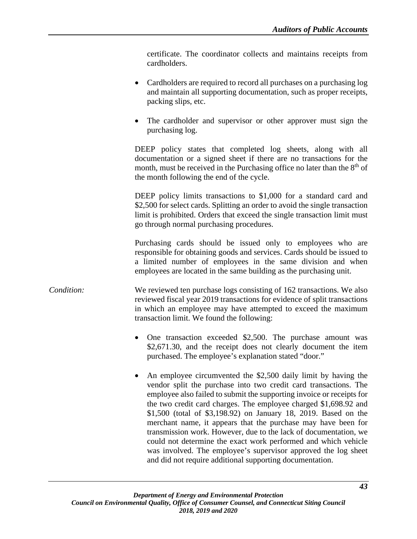certificate. The coordinator collects and maintains receipts from cardholders.

- Cardholders are required to record all purchases on a purchasing log and maintain all supporting documentation, such as proper receipts, packing slips, etc.
- The cardholder and supervisor or other approver must sign the purchasing log.

DEEP policy states that completed log sheets, along with all documentation or a signed sheet if there are no transactions for the month, must be received in the Purchasing office no later than the  $8<sup>th</sup>$  of the month following the end of the cycle.

DEEP policy limits transactions to \$1,000 for a standard card and \$2,500 for select cards. Splitting an order to avoid the single transaction limit is prohibited. Orders that exceed the single transaction limit must go through normal purchasing procedures.

Purchasing cards should be issued only to employees who are responsible for obtaining goods and services. Cards should be issued to a limited number of employees in the same division and when employees are located in the same building as the purchasing unit.

## *Condition:* We reviewed ten purchase logs consisting of 162 transactions. We also reviewed fiscal year 2019 transactions for evidence of split transactions in which an employee may have attempted to exceed the maximum transaction limit. We found the following:

- One transaction exceeded \$2,500. The purchase amount was \$2,671.30, and the receipt does not clearly document the item purchased. The employee's explanation stated "door."
- An employee circumvented the \$2,500 daily limit by having the vendor split the purchase into two credit card transactions. The employee also failed to submit the supporting invoice or receipts for the two credit card charges. The employee charged \$1,698.92 and \$1,500 (total of \$3,198.92) on January 18, 2019. Based on the merchant name, it appears that the purchase may have been for transmission work. However, due to the lack of documentation, we could not determine the exact work performed and which vehicle was involved. The employee's supervisor approved the log sheet and did not require additional supporting documentation.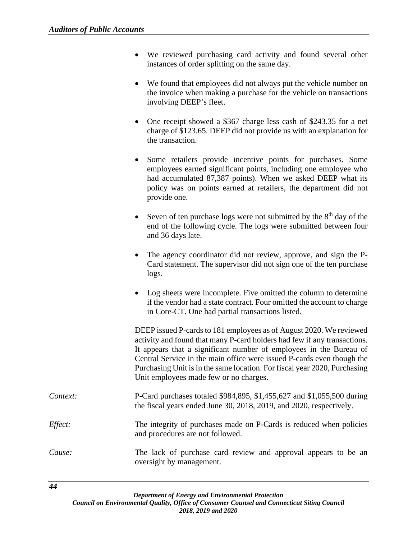- We reviewed purchasing card activity and found several other instances of order splitting on the same day.
- We found that employees did not always put the vehicle number on the invoice when making a purchase for the vehicle on transactions involving DEEP's fleet.
- One receipt showed a \$367 charge less cash of \$243.35 for a net charge of \$123.65. DEEP did not provide us with an explanation for the transaction.
- Some retailers provide incentive points for purchases. Some employees earned significant points, including one employee who had accumulated 87,387 points). When we asked DEEP what its policy was on points earned at retailers, the department did not provide one.
- Seven of ten purchase logs were not submitted by the  $8<sup>th</sup>$  day of the end of the following cycle. The logs were submitted between four and 36 days late.
- The agency coordinator did not review, approve, and sign the P-Card statement. The supervisor did not sign one of the ten purchase logs.
- Log sheets were incomplete. Five omitted the column to determine if the vendor had a state contract. Four omitted the account to charge in Core-CT. One had partial transactions listed.

DEEP issued P-cards to 181 employees as of August 2020. We reviewed activity and found that many P-card holders had few if any transactions. It appears that a significant number of employees in the Bureau of Central Service in the main office were issued P-cards even though the Purchasing Unit is in the same location. For fiscal year 2020, Purchasing Unit employees made few or no charges.

- *Context:* P-Card purchases totaled \$984,895, \$1,455,627 and \$1,055,500 during the fiscal years ended June 30, 2018, 2019, and 2020, respectively.
- *Effect:* The integrity of purchases made on P-Cards is reduced when policies and procedures are not followed.
- *Cause:* The lack of purchase card review and approval appears to be an oversight by management.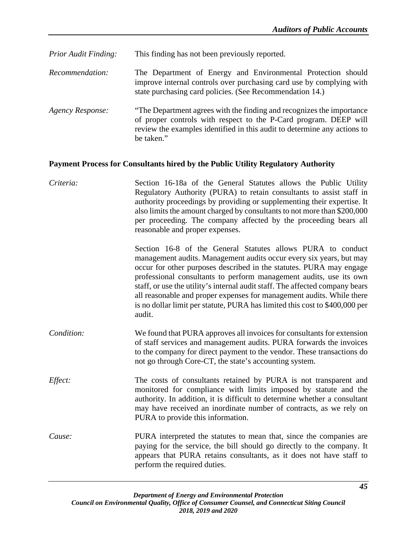| <b>Prior Audit Finding:</b> | This finding has not been previously reported.                                                                                                                                                                                       |
|-----------------------------|--------------------------------------------------------------------------------------------------------------------------------------------------------------------------------------------------------------------------------------|
| <i>Recommendation:</i>      | The Department of Energy and Environmental Protection should<br>improve internal controls over purchasing card use by complying with<br>state purchasing card policies. (See Recommendation 14.)                                     |
| <b>Agency Response:</b>     | "The Department agrees with the finding and recognizes the importance"<br>of proper controls with respect to the P-Card program. DEEP will<br>review the examples identified in this audit to determine any actions to<br>be taken." |

## **Payment Process for Consultants hired by the Public Utility Regulatory Authority**

| Criteria:  | Section 16-18a of the General Statutes allows the Public Utility<br>Regulatory Authority (PURA) to retain consultants to assist staff in<br>authority proceedings by providing or supplementing their expertise. It<br>also limits the amount charged by consultants to not more than \$200,000<br>per proceeding. The company affected by the proceeding bears all<br>reasonable and proper expenses.                                                                                                                            |
|------------|-----------------------------------------------------------------------------------------------------------------------------------------------------------------------------------------------------------------------------------------------------------------------------------------------------------------------------------------------------------------------------------------------------------------------------------------------------------------------------------------------------------------------------------|
|            | Section 16-8 of the General Statutes allows PURA to conduct<br>management audits. Management audits occur every six years, but may<br>occur for other purposes described in the statutes. PURA may engage<br>professional consultants to perform management audits, use its own<br>staff, or use the utility's internal audit staff. The affected company bears<br>all reasonable and proper expenses for management audits. While there<br>is no dollar limit per statute, PURA has limited this cost to \$400,000 per<br>audit. |
| Condition: | We found that PURA approves all invoices for consultants for extension<br>of staff services and management audits. PURA forwards the invoices<br>to the company for direct payment to the vendor. These transactions do<br>not go through Core-CT, the state's accounting system.                                                                                                                                                                                                                                                 |
| Effect:    | The costs of consultants retained by PURA is not transparent and<br>monitored for compliance with limits imposed by statute and the<br>authority. In addition, it is difficult to determine whether a consultant<br>may have received an inordinate number of contracts, as we rely on<br>PURA to provide this information.                                                                                                                                                                                                       |
| Cause:     | PURA interpreted the statutes to mean that, since the companies are<br>paying for the service, the bill should go directly to the company. It<br>appears that PURA retains consultants, as it does not have staff to<br>perform the required duties.                                                                                                                                                                                                                                                                              |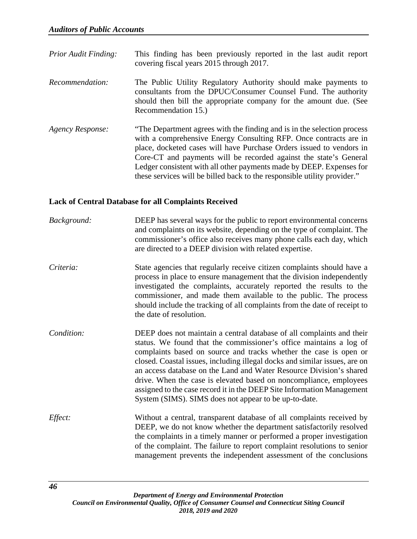- *Prior Audit Finding:* This finding has been previously reported in the last audit report covering fiscal years 2015 through 2017.
- *Recommendation:* The Public Utility Regulatory Authority should make payments to consultants from the DPUC/Consumer Counsel Fund. The authority should then bill the appropriate company for the amount due. (See Recommendation 15.)
- *Agency Response:* "The Department agrees with the finding and is in the selection process with a comprehensive Energy Consulting RFP. Once contracts are in place, docketed cases will have Purchase Orders issued to vendors in Core-CT and payments will be recorded against the state's General Ledger consistent with all other payments made by DEEP. Expenses for these services will be billed back to the responsible utility provider."

# **Lack of Central Database for all Complaints Received**

| Background: | DEEP has several ways for the public to report environmental concerns<br>and complaints on its website, depending on the type of complaint. The<br>commissioner's office also receives many phone calls each day, which<br>are directed to a DEEP division with related expertise.                                                                                                                                                                                                                                                                                             |
|-------------|--------------------------------------------------------------------------------------------------------------------------------------------------------------------------------------------------------------------------------------------------------------------------------------------------------------------------------------------------------------------------------------------------------------------------------------------------------------------------------------------------------------------------------------------------------------------------------|
| Criteria:   | State agencies that regularly receive citizen complaints should have a<br>process in place to ensure management that the division independently<br>investigated the complaints, accurately reported the results to the<br>commissioner, and made them available to the public. The process<br>should include the tracking of all complaints from the date of receipt to<br>the date of resolution.                                                                                                                                                                             |
| Condition:  | DEEP does not maintain a central database of all complaints and their<br>status. We found that the commissioner's office maintains a log of<br>complaints based on source and tracks whether the case is open or<br>closed. Coastal issues, including illegal docks and similar issues, are on<br>an access database on the Land and Water Resource Division's shared<br>drive. When the case is elevated based on noncompliance, employees<br>assigned to the case record it in the DEEP Site Information Management<br>System (SIMS). SIMS does not appear to be up-to-date. |
| Effect:     | Without a central, transparent database of all complaints received by<br>DEEP, we do not know whether the department satisfactorily resolved<br>the complaints in a timely manner or performed a proper investigation<br>of the complaint. The failure to report complaint resolutions to senior<br>management prevents the independent assessment of the conclusions                                                                                                                                                                                                          |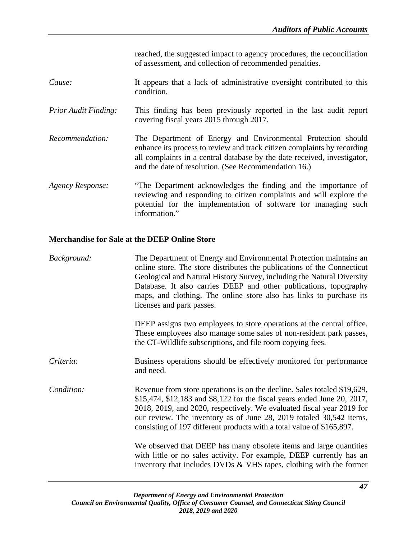reached, the suggested impact to agency procedures, the reconciliation of assessment, and collection of recommended penalties.

- *Cause:* It appears that a lack of administrative oversight contributed to this condition.
- *Prior Audit Finding:* This finding has been previously reported in the last audit report covering fiscal years 2015 through 2017.
- *Recommendation:* The Department of Energy and Environmental Protection should enhance its process to review and track citizen complaints by recording all complaints in a central database by the date received, investigator, and the date of resolution. (See Recommendation 16.)
- *Agency Response:* "The Department acknowledges the finding and the importance of reviewing and responding to citizen complaints and will explore the potential for the implementation of software for managing such information."

#### **Merchandise for Sale at the DEEP Online Store**

| Background: | The Department of Energy and Environmental Protection maintains an<br>online store. The store distributes the publications of the Connecticut<br>Geological and Natural History Survey, including the Natural Diversity<br>Database. It also carries DEEP and other publications, topography<br>maps, and clothing. The online store also has links to purchase its<br>licenses and park passes.<br>DEEP assigns two employees to store operations at the central office. |
|-------------|---------------------------------------------------------------------------------------------------------------------------------------------------------------------------------------------------------------------------------------------------------------------------------------------------------------------------------------------------------------------------------------------------------------------------------------------------------------------------|
|             | These employees also manage some sales of non-resident park passes,<br>the CT-Wildlife subscriptions, and file room copying fees.                                                                                                                                                                                                                                                                                                                                         |
| Criteria:   | Business operations should be effectively monitored for performance<br>and need.                                                                                                                                                                                                                                                                                                                                                                                          |
| Condition:  | Revenue from store operations is on the decline. Sales totaled \$19,629,<br>\$15,474, \$12,183 and \$8,122 for the fiscal years ended June 20, 2017,<br>2018, 2019, and 2020, respectively. We evaluated fiscal year 2019 for<br>our review. The inventory as of June 28, 2019 totaled 30,542 items,<br>consisting of 197 different products with a total value of \$165,897.                                                                                             |
|             | We observed that DEEP has many obsolete items and large quantities<br>with little or no sales activity. For example, DEEP currently has an<br>inventory that includes DVDs $\&$ VHS tapes, clothing with the former                                                                                                                                                                                                                                                       |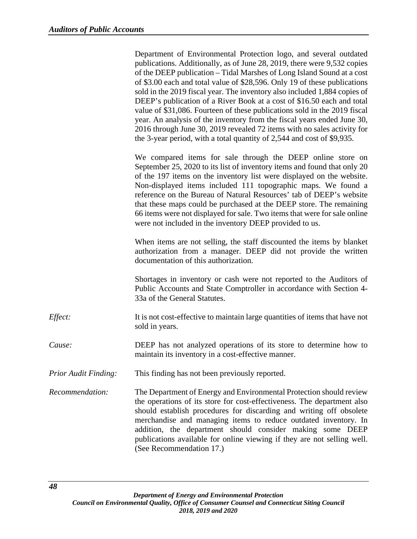|                             | Department of Environmental Protection logo, and several outdated<br>publications. Additionally, as of June 28, 2019, there were 9,532 copies<br>of the DEEP publication – Tidal Marshes of Long Island Sound at a cost<br>of \$3.00 each and total value of \$28,596. Only 19 of these publications<br>sold in the 2019 fiscal year. The inventory also included 1,884 copies of<br>DEEP's publication of a River Book at a cost of \$16.50 each and total<br>value of \$31,086. Fourteen of these publications sold in the 2019 fiscal<br>year. An analysis of the inventory from the fiscal years ended June 30,<br>2016 through June 30, 2019 revealed 72 items with no sales activity for<br>the 3-year period, with a total quantity of 2,544 and cost of \$9,935. |
|-----------------------------|--------------------------------------------------------------------------------------------------------------------------------------------------------------------------------------------------------------------------------------------------------------------------------------------------------------------------------------------------------------------------------------------------------------------------------------------------------------------------------------------------------------------------------------------------------------------------------------------------------------------------------------------------------------------------------------------------------------------------------------------------------------------------|
|                             | We compared items for sale through the DEEP online store on<br>September 25, 2020 to its list of inventory items and found that only 20<br>of the 197 items on the inventory list were displayed on the website.<br>Non-displayed items included 111 topographic maps. We found a<br>reference on the Bureau of Natural Resources' tab of DEEP's website<br>that these maps could be purchased at the DEEP store. The remaining<br>66 items were not displayed for sale. Two items that were for sale online<br>were not included in the inventory DEEP provided to us.                                                                                                                                                                                                  |
|                             | When items are not selling, the staff discounted the items by blanket<br>authorization from a manager. DEEP did not provide the written<br>documentation of this authorization.                                                                                                                                                                                                                                                                                                                                                                                                                                                                                                                                                                                          |
|                             | Shortages in inventory or cash were not reported to the Auditors of<br>Public Accounts and State Comptroller in accordance with Section 4-<br>33a of the General Statutes.                                                                                                                                                                                                                                                                                                                                                                                                                                                                                                                                                                                               |
| Effect:                     | It is not cost-effective to maintain large quantities of items that have not<br>sold in years.                                                                                                                                                                                                                                                                                                                                                                                                                                                                                                                                                                                                                                                                           |
| Cause:                      | DEEP has not analyzed operations of its store to determine how to<br>maintain its inventory in a cost-effective manner.                                                                                                                                                                                                                                                                                                                                                                                                                                                                                                                                                                                                                                                  |
| <b>Prior Audit Finding:</b> | This finding has not been previously reported.                                                                                                                                                                                                                                                                                                                                                                                                                                                                                                                                                                                                                                                                                                                           |
| Recommendation:             | The Department of Energy and Environmental Protection should review<br>the operations of its store for cost-effectiveness. The department also<br>should establish procedures for discarding and writing off obsolete<br>merchandise and managing items to reduce outdated inventory. In<br>addition, the department should consider making some DEEP<br>publications available for online viewing if they are not selling well.<br>(See Recommendation 17.)                                                                                                                                                                                                                                                                                                             |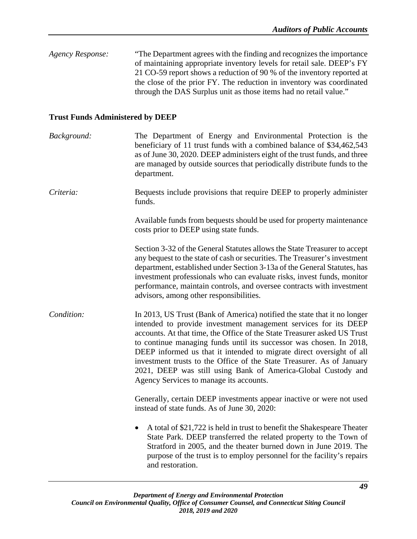| Agency Response: | "The Department agrees with the finding and recognizes the importance" |
|------------------|------------------------------------------------------------------------|
|                  | of maintaining appropriate inventory levels for retail sale. DEEP's FY |
|                  | 21 CO-59 report shows a reduction of 90 % of the inventory reported at |
|                  | the close of the prior FY. The reduction in inventory was coordinated  |
|                  | through the DAS Surplus unit as those items had no retail value."      |
|                  |                                                                        |

# **Trust Funds Administered by DEEP**

| Background: | The Department of Energy and Environmental Protection is the<br>beneficiary of 11 trust funds with a combined balance of \$34,462,543<br>as of June 30, 2020. DEEP administers eight of the trust funds, and three<br>are managed by outside sources that periodically distribute funds to the<br>department.                                                                                                                                                                                                                                               |
|-------------|-------------------------------------------------------------------------------------------------------------------------------------------------------------------------------------------------------------------------------------------------------------------------------------------------------------------------------------------------------------------------------------------------------------------------------------------------------------------------------------------------------------------------------------------------------------|
| Criteria:   | Bequests include provisions that require DEEP to properly administer<br>funds.                                                                                                                                                                                                                                                                                                                                                                                                                                                                              |
|             | Available funds from bequests should be used for property maintenance<br>costs prior to DEEP using state funds.                                                                                                                                                                                                                                                                                                                                                                                                                                             |
|             | Section 3-32 of the General Statutes allows the State Treasurer to accept<br>any bequest to the state of cash or securities. The Treasurer's investment<br>department, established under Section 3-13a of the General Statutes, has<br>investment professionals who can evaluate risks, invest funds, monitor<br>performance, maintain controls, and oversee contracts with investment<br>advisors, among other responsibilities.                                                                                                                           |
| Condition:  | In 2013, US Trust (Bank of America) notified the state that it no longer<br>intended to provide investment management services for its DEEP<br>accounts. At that time, the Office of the State Treasurer asked US Trust<br>to continue managing funds until its successor was chosen. In 2018,<br>DEEP informed us that it intended to migrate direct oversight of all<br>investment trusts to the Office of the State Treasurer. As of January<br>2021, DEEP was still using Bank of America-Global Custody and<br>Agency Services to manage its accounts. |
|             | Generally, certain DEEP investments appear inactive or were not used<br>instead of state funds. As of June 30, 2020:                                                                                                                                                                                                                                                                                                                                                                                                                                        |
|             | A total of \$21,722 is held in trust to benefit the Shakespeare Theater<br>$\bullet$<br>State Park. DEEP transferred the related property to the Town of<br>Stratford in 2005, and the theater burned down in June 2019. The<br>purpose of the trust is to employ personnel for the facility's repairs<br>and restoration.                                                                                                                                                                                                                                  |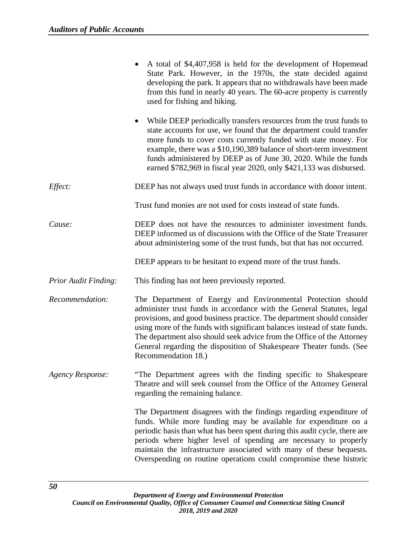|                             | A total of \$4,407,958 is held for the development of Hopemead<br>State Park. However, in the 1970s, the state decided against<br>developing the park. It appears that no withdrawals have been made<br>from this fund in nearly 40 years. The 60-acre property is currently<br>used for fishing and hiking.                                                                                                                                                          |
|-----------------------------|-----------------------------------------------------------------------------------------------------------------------------------------------------------------------------------------------------------------------------------------------------------------------------------------------------------------------------------------------------------------------------------------------------------------------------------------------------------------------|
|                             | While DEEP periodically transfers resources from the trust funds to<br>state accounts for use, we found that the department could transfer<br>more funds to cover costs currently funded with state money. For<br>example, there was a \$10,190,389 balance of short-term investment<br>funds administered by DEEP as of June 30, 2020. While the funds<br>earned \$782,969 in fiscal year 2020, only \$421,133 was disbursed.                                        |
| Effect:                     | DEEP has not always used trust funds in accordance with donor intent.                                                                                                                                                                                                                                                                                                                                                                                                 |
|                             | Trust fund monies are not used for costs instead of state funds.                                                                                                                                                                                                                                                                                                                                                                                                      |
| Cause:                      | DEEP does not have the resources to administer investment funds.<br>DEEP informed us of discussions with the Office of the State Treasurer<br>about administering some of the trust funds, but that has not occurred.                                                                                                                                                                                                                                                 |
|                             | DEEP appears to be hesitant to expend more of the trust funds.                                                                                                                                                                                                                                                                                                                                                                                                        |
| <b>Prior Audit Finding:</b> | This finding has not been previously reported.                                                                                                                                                                                                                                                                                                                                                                                                                        |
| Recommendation:             | The Department of Energy and Environmental Protection should<br>administer trust funds in accordance with the General Statutes, legal<br>provisions, and good business practice. The department should consider<br>using more of the funds with significant balances instead of state funds.<br>The department also should seek advice from the Office of the Attorney<br>General regarding the disposition of Shakespeare Theater funds. (See<br>Recommendation 18.) |
| <b>Agency Response:</b>     | "The Department agrees with the finding specific to Shakespeare<br>Theatre and will seek counsel from the Office of the Attorney General<br>regarding the remaining balance.                                                                                                                                                                                                                                                                                          |
|                             | The Department disagrees with the findings regarding expenditure of<br>funds. While more funding may be available for expenditure on a<br>periodic basis than what has been spent during this audit cycle, there are<br>periods where higher level of spending are necessary to properly<br>maintain the infrastructure associated with many of these bequests.<br>Overspending on routine operations could compromise these historic                                 |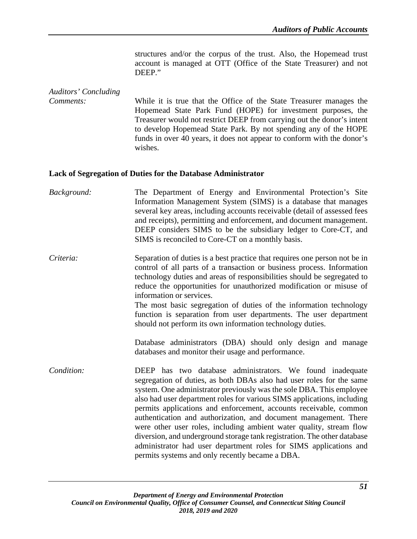structures and/or the corpus of the trust. Also, the Hopemead trust account is managed at OTT (Office of the State Treasurer) and not DEEP."

## *Auditors' Concluding Comments:* While it is true that the Office of the State Treasurer manages the Hopemead State Park Fund (HOPE) for investment purposes, the Treasurer would not restrict DEEP from carrying out the donor's intent to develop Hopemead State Park. By not spending any of the HOPE funds in over 40 years, it does not appear to conform with the donor's wishes.

#### **Lack of Segregation of Duties for the Database Administrator**

*Background:* The Department of Energy and Environmental Protection's Site Information Management System (SIMS) is a database that manages several key areas, including accounts receivable (detail of assessed fees and receipts), permitting and enforcement, and document management. DEEP considers SIMS to be the subsidiary ledger to Core-CT, and SIMS is reconciled to Core-CT on a monthly basis.

*Criteria:* Separation of duties is a best practice that requires one person not be in control of all parts of a transaction or business process. Information technology duties and areas of responsibilities should be segregated to reduce the opportunities for unauthorized modification or misuse of information or services.

The most basic segregation of duties of the information technology function is separation from user departments. The user department should not perform its own information technology duties.

Database administrators (DBA) should only design and manage databases and monitor their usage and performance.

*Condition:* DEEP has two database administrators. We found inadequate segregation of duties, as both DBAs also had user roles for the same system. One administrator previously was the sole DBA. This employee also had user department roles for various SIMS applications, including permits applications and enforcement, accounts receivable, common authentication and authorization, and document management. There were other user roles, including ambient water quality, stream flow diversion, and underground storage tank registration. The other database administrator had user department roles for SIMS applications and permits systems and only recently became a DBA.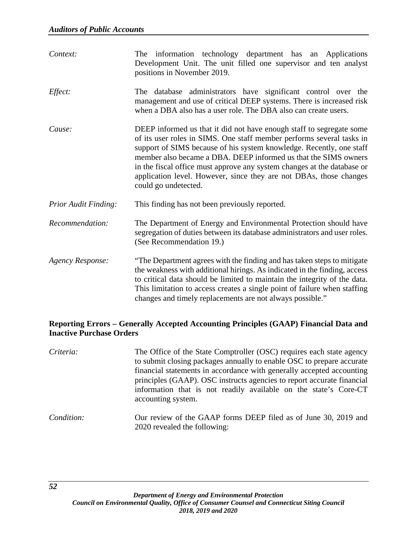| Context:                    | The information technology department has an Applications<br>Development Unit. The unit filled one supervisor and ten analyst<br>positions in November 2019.                                                                                                                                                                                                                                                                                                      |
|-----------------------------|-------------------------------------------------------------------------------------------------------------------------------------------------------------------------------------------------------------------------------------------------------------------------------------------------------------------------------------------------------------------------------------------------------------------------------------------------------------------|
| Effect:                     | The database administrators have significant control over the<br>management and use of critical DEEP systems. There is increased risk<br>when a DBA also has a user role. The DBA also can create users.                                                                                                                                                                                                                                                          |
| Cause:                      | DEEP informed us that it did not have enough staff to segregate some<br>of its user roles in SIMS. One staff member performs several tasks in<br>support of SIMS because of his system knowledge. Recently, one staff<br>member also became a DBA. DEEP informed us that the SIMS owners<br>in the fiscal office must approve any system changes at the database or<br>application level. However, since they are not DBAs, those changes<br>could go undetected. |
| <b>Prior Audit Finding:</b> | This finding has not been previously reported.                                                                                                                                                                                                                                                                                                                                                                                                                    |
| Recommendation:             | The Department of Energy and Environmental Protection should have<br>segregation of duties between its database administrators and user roles.<br>(See Recommendation 19.)                                                                                                                                                                                                                                                                                        |
| <b>Agency Response:</b>     | "The Department agrees with the finding and has taken steps to mitigate<br>the weakness with additional hirings. As indicated in the finding, access<br>to critical data should be limited to maintain the integrity of the data.<br>This limitation to access creates a single point of failure when staffing<br>changes and timely replacements are not always possible."                                                                                       |

# **Reporting Errors – Generally Accepted Accounting Principles (GAAP) Financial Data and Inactive Purchase Orders**

| Criteria:  | The Office of the State Comptroller (OSC) requires each state agency<br>to submit closing packages annually to enable OSC to prepare accurate<br>financial statements in accordance with generally accepted accounting<br>principles (GAAP). OSC instructs agencies to report accurate financial<br>information that is not readily available on the state's Core-CT<br>accounting system. |
|------------|--------------------------------------------------------------------------------------------------------------------------------------------------------------------------------------------------------------------------------------------------------------------------------------------------------------------------------------------------------------------------------------------|
| Condition: | Our review of the GAAP forms DEEP filed as of June 30, 2019 and<br>2020 revealed the following:                                                                                                                                                                                                                                                                                            |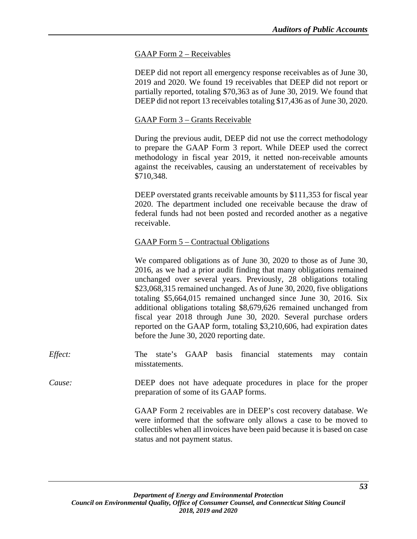## GAAP Form 2 – Receivables

DEEP did not report all emergency response receivables as of June 30, 2019 and 2020. We found 19 receivables that DEEP did not report or partially reported, totaling \$70,363 as of June 30, 2019. We found that DEEP did not report 13 receivables totaling \$17,436 as of June 30, 2020.

#### GAAP Form 3 – Grants Receivable

During the previous audit, DEEP did not use the correct methodology to prepare the GAAP Form 3 report. While DEEP used the correct methodology in fiscal year 2019, it netted non-receivable amounts against the receivables, causing an understatement of receivables by \$710,348.

DEEP overstated grants receivable amounts by \$111,353 for fiscal year 2020. The department included one receivable because the draw of federal funds had not been posted and recorded another as a negative receivable.

## GAAP Form 5 – Contractual Obligations

We compared obligations as of June 30, 2020 to those as of June 30, 2016, as we had a prior audit finding that many obligations remained unchanged over several years. Previously, 28 obligations totaling \$23,068,315 remained unchanged. As of June 30, 2020, five obligations totaling \$5,664,015 remained unchanged since June 30, 2016. Six additional obligations totaling \$8,679,626 remained unchanged from fiscal year 2018 through June 30, 2020. Several purchase orders reported on the GAAP form, totaling \$3,210,606, had expiration dates before the June 30, 2020 reporting date.

*Effect:* The state's GAAP basis financial statements may contain misstatements.

*Cause:* DEEP does not have adequate procedures in place for the proper preparation of some of its GAAP forms.

> GAAP Form 2 receivables are in DEEP's cost recovery database. We were informed that the software only allows a case to be moved to collectibles when all invoices have been paid because it is based on case status and not payment status.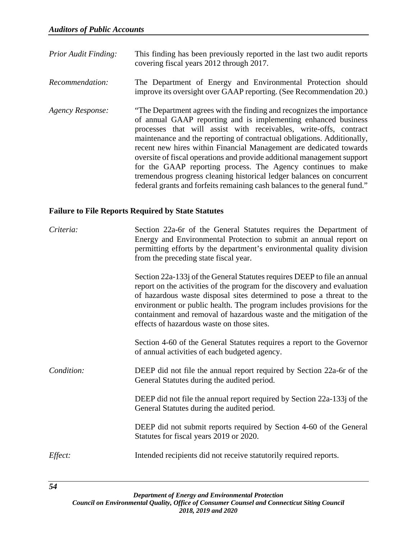- *Prior Audit Finding:* This finding has been previously reported in the last two audit reports covering fiscal years 2012 through 2017.
- *Recommendation:* The Department of Energy and Environmental Protection should improve its oversight over GAAP reporting. (See Recommendation 20.)
- *Agency Response:* "The Department agrees with the finding and recognizes the importance of annual GAAP reporting and is implementing enhanced business processes that will assist with receivables, write-offs, contract maintenance and the reporting of contractual obligations. Additionally, recent new hires within Financial Management are dedicated towards oversite of fiscal operations and provide additional management support for the GAAP reporting process. The Agency continues to make tremendous progress cleaning historical ledger balances on concurrent federal grants and forfeits remaining cash balances to the general fund."

# **Failure to File Reports Required by State Statutes**

| Criteria:  | Section 22a-6r of the General Statutes requires the Department of<br>Energy and Environmental Protection to submit an annual report on<br>permitting efforts by the department's environmental quality division<br>from the preceding state fiscal year.                                                                                                                                                                    |
|------------|-----------------------------------------------------------------------------------------------------------------------------------------------------------------------------------------------------------------------------------------------------------------------------------------------------------------------------------------------------------------------------------------------------------------------------|
|            | Section 22a-133j of the General Statutes requires DEEP to file an annual<br>report on the activities of the program for the discovery and evaluation<br>of hazardous waste disposal sites determined to pose a threat to the<br>environment or public health. The program includes provisions for the<br>containment and removal of hazardous waste and the mitigation of the<br>effects of hazardous waste on those sites. |
|            | Section 4-60 of the General Statutes requires a report to the Governor<br>of annual activities of each budgeted agency.                                                                                                                                                                                                                                                                                                     |
| Condition: | DEEP did not file the annual report required by Section 22a-6r of the<br>General Statutes during the audited period.                                                                                                                                                                                                                                                                                                        |
|            | DEEP did not file the annual report required by Section 22a-133 of the<br>General Statutes during the audited period.                                                                                                                                                                                                                                                                                                       |
|            | DEEP did not submit reports required by Section 4-60 of the General<br>Statutes for fiscal years 2019 or 2020.                                                                                                                                                                                                                                                                                                              |
| Effect:    | Intended recipients did not receive statutorily required reports.                                                                                                                                                                                                                                                                                                                                                           |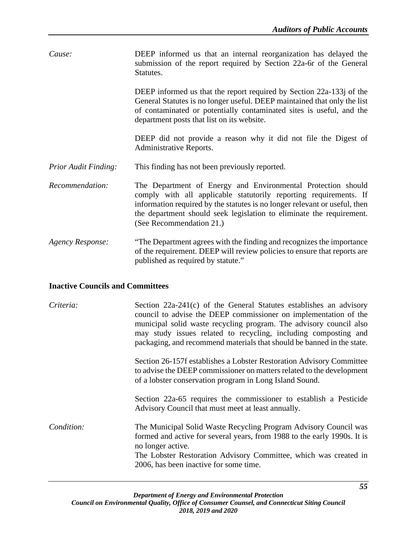| Cause: | DEEP informed us that an internal reorganization has delayed the   |
|--------|--------------------------------------------------------------------|
|        | submission of the report required by Section 22a-6r of the General |
|        | Statutes.                                                          |

DEEP informed us that the report required by Section 22a-133j of the General Statutes is no longer useful. DEEP maintained that only the list of contaminated or potentially contaminated sites is useful, and the department posts that list on its website.

DEEP did not provide a reason why it did not file the Digest of Administrative Reports.

- *Prior Audit Finding:* This finding has not been previously reported.
- *Recommendation:* The Department of Energy and Environmental Protection should comply with all applicable statutorily reporting requirements. If information required by the statutes is no longer relevant or useful, then the department should seek legislation to eliminate the requirement. (See Recommendation 21.)
- *Agency Response:* "The Department agrees with the finding and recognizes the importance of the requirement. DEEP will review policies to ensure that reports are published as required by statute."

#### **Inactive Councils and Committees**

| Criteria:  | Section $22a-241(c)$ of the General Statutes establishes an advisory<br>council to advise the DEEP commissioner on implementation of the<br>municipal solid waste recycling program. The advisory council also<br>may study issues related to recycling, including composting and<br>packaging, and recommend materials that should be banned in the state. |
|------------|-------------------------------------------------------------------------------------------------------------------------------------------------------------------------------------------------------------------------------------------------------------------------------------------------------------------------------------------------------------|
|            | Section 26-157f establishes a Lobster Restoration Advisory Committee<br>to advise the DEEP commissioner on matters related to the development<br>of a lobster conservation program in Long Island Sound.                                                                                                                                                    |
|            | Section 22a-65 requires the commissioner to establish a Pesticide<br>Advisory Council that must meet at least annually.                                                                                                                                                                                                                                     |
| Condition: | The Municipal Solid Waste Recycling Program Advisory Council was<br>formed and active for several years, from 1988 to the early 1990s. It is<br>no longer active.<br>The Lobster Restoration Advisory Committee, which was created in<br>2006, has been inactive for some time.                                                                             |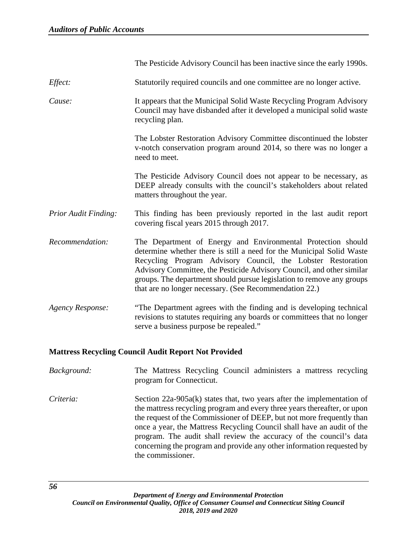|                             | The Pesticide Advisory Council has been inactive since the early 1990s.                                                                                                                                                                                                                                                                                                                                          |
|-----------------------------|------------------------------------------------------------------------------------------------------------------------------------------------------------------------------------------------------------------------------------------------------------------------------------------------------------------------------------------------------------------------------------------------------------------|
| Effect:                     | Statutorily required councils and one committee are no longer active.                                                                                                                                                                                                                                                                                                                                            |
| Cause:                      | It appears that the Municipal Solid Waste Recycling Program Advisory<br>Council may have disbanded after it developed a municipal solid waste<br>recycling plan.                                                                                                                                                                                                                                                 |
|                             | The Lobster Restoration Advisory Committee discontinued the lobster<br>v-notch conservation program around 2014, so there was no longer a<br>need to meet.                                                                                                                                                                                                                                                       |
|                             | The Pesticide Advisory Council does not appear to be necessary, as<br>DEEP already consults with the council's stakeholders about related<br>matters throughout the year.                                                                                                                                                                                                                                        |
| <b>Prior Audit Finding:</b> | This finding has been previously reported in the last audit report<br>covering fiscal years 2015 through 2017.                                                                                                                                                                                                                                                                                                   |
| Recommendation:             | The Department of Energy and Environmental Protection should<br>determine whether there is still a need for the Municipal Solid Waste<br>Recycling Program Advisory Council, the Lobster Restoration<br>Advisory Committee, the Pesticide Advisory Council, and other similar<br>groups. The department should pursue legislation to remove any groups<br>that are no longer necessary. (See Recommendation 22.) |
| <b>Agency Response:</b>     | "The Department agrees with the finding and is developing technical<br>revisions to statutes requiring any boards or committees that no longer<br>serve a business purpose be repealed."                                                                                                                                                                                                                         |
|                             | $\mathbf{u}$ is the state $\mathbf{v}$                                                                                                                                                                                                                                                                                                                                                                           |

# **Mattress Recycling Council Audit Report Not Provided**

| Background: |  |                          | The Mattress Recycling Council administers a mattress recycling |  |  |
|-------------|--|--------------------------|-----------------------------------------------------------------|--|--|
|             |  | program for Connecticut. |                                                                 |  |  |

*Criteria:* Section 22a-905a(k) states that, two years after the implementation of the mattress recycling program and every three years thereafter, or upon the request of the Commissioner of DEEP, but not more frequently than once a year, the Mattress Recycling Council shall have an audit of the program. The audit shall review the accuracy of the council's data concerning the program and provide any other information requested by the commissioner.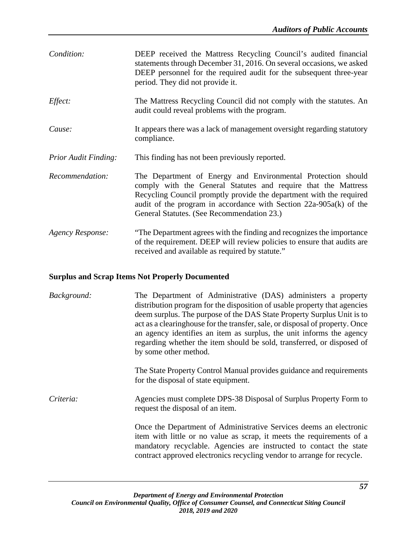| Condition:                  | DEEP received the Mattress Recycling Council's audited financial<br>statements through December 31, 2016. On several occasions, we asked<br>DEEP personnel for the required audit for the subsequent three-year<br>period. They did not provide it.                                                                         |
|-----------------------------|-----------------------------------------------------------------------------------------------------------------------------------------------------------------------------------------------------------------------------------------------------------------------------------------------------------------------------|
| Effect:                     | The Mattress Recycling Council did not comply with the statutes. An<br>audit could reveal problems with the program.                                                                                                                                                                                                        |
| Cause:                      | It appears there was a lack of management oversight regarding statutory<br>compliance.                                                                                                                                                                                                                                      |
| <b>Prior Audit Finding:</b> | This finding has not been previously reported.                                                                                                                                                                                                                                                                              |
| Recommendation:             | The Department of Energy and Environmental Protection should<br>comply with the General Statutes and require that the Mattress<br>Recycling Council promptly provide the department with the required<br>audit of the program in accordance with Section $22a-905a(k)$ of the<br>General Statutes. (See Recommendation 23.) |
| Agency Response:            | "The Department agrees with the finding and recognizes the importance"<br>of the requirement. DEEP will review policies to ensure that audits are<br>received and available as required by statute."                                                                                                                        |

# **Surplus and Scrap Items Not Properly Documented**

| Background: | The Department of Administrative (DAS) administers a property<br>distribution program for the disposition of usable property that agencies<br>deem surplus. The purpose of the DAS State Property Surplus Unit is to<br>act as a clearinghouse for the transfer, sale, or disposal of property. Once<br>an agency identifies an item as surplus, the unit informs the agency<br>regarding whether the item should be sold, transferred, or disposed of<br>by some other method. |
|-------------|---------------------------------------------------------------------------------------------------------------------------------------------------------------------------------------------------------------------------------------------------------------------------------------------------------------------------------------------------------------------------------------------------------------------------------------------------------------------------------|
|             | The State Property Control Manual provides guidance and requirements<br>for the disposal of state equipment.                                                                                                                                                                                                                                                                                                                                                                    |
| Criteria:   | Agencies must complete DPS-38 Disposal of Surplus Property Form to<br>request the disposal of an item.                                                                                                                                                                                                                                                                                                                                                                          |
|             | Once the Department of Administrative Services deems an electronic<br>item with little or no value as scrap, it meets the requirements of a<br>mandatory recyclable. Agencies are instructed to contact the state<br>contract approved electronics recycling vendor to arrange for recycle.                                                                                                                                                                                     |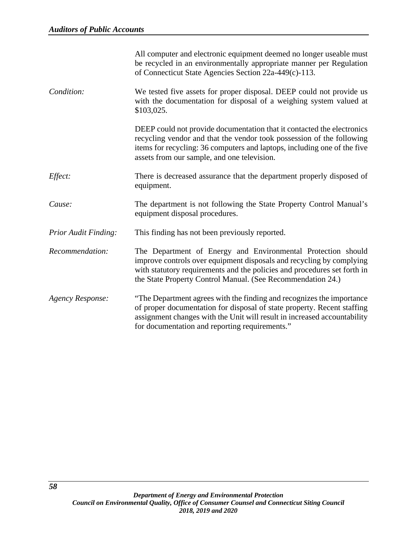|                             | All computer and electronic equipment deemed no longer useable must<br>be recycled in an environmentally appropriate manner per Regulation<br>of Connecticut State Agencies Section 22a-449(c)-113.                                                                             |
|-----------------------------|---------------------------------------------------------------------------------------------------------------------------------------------------------------------------------------------------------------------------------------------------------------------------------|
| Condition:                  | We tested five assets for proper disposal. DEEP could not provide us<br>with the documentation for disposal of a weighing system valued at<br>\$103,025.                                                                                                                        |
|                             | DEEP could not provide documentation that it contacted the electronics<br>recycling vendor and that the vendor took possession of the following<br>items for recycling: 36 computers and laptops, including one of the five<br>assets from our sample, and one television.      |
| Effect:                     | There is decreased assurance that the department properly disposed of<br>equipment.                                                                                                                                                                                             |
| Cause:                      | The department is not following the State Property Control Manual's<br>equipment disposal procedures.                                                                                                                                                                           |
| <b>Prior Audit Finding:</b> | This finding has not been previously reported.                                                                                                                                                                                                                                  |
| Recommendation:             | The Department of Energy and Environmental Protection should<br>improve controls over equipment disposals and recycling by complying<br>with statutory requirements and the policies and procedures set forth in<br>the State Property Control Manual. (See Recommendation 24.) |
| Agency Response:            | "The Department agrees with the finding and recognizes the importance<br>of proper documentation for disposal of state property. Recent staffing<br>assignment changes with the Unit will result in increased accountability<br>for documentation and reporting requirements."  |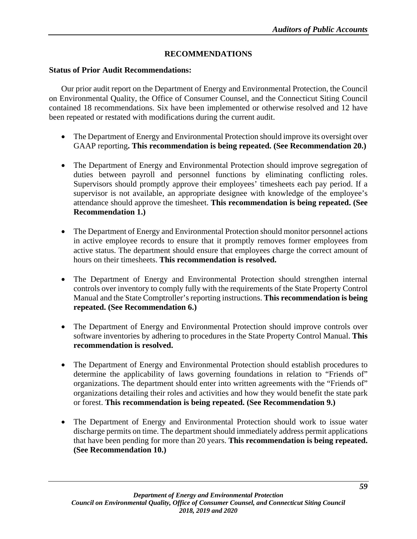# **RECOMMENDATIONS**

## **Status of Prior Audit Recommendations:**

Our prior audit report on the Department of Energy and Environmental Protection, the Council on Environmental Quality, the Office of Consumer Counsel, and the Connecticut Siting Council contained 18 recommendations. Six have been implemented or otherwise resolved and 12 have been repeated or restated with modifications during the current audit.

- The Department of Energy and Environmental Protection should improve its oversight over GAAP reporting**. This recommendation is being repeated. (See Recommendation 20.)**
- The Department of Energy and Environmental Protection should improve segregation of duties between payroll and personnel functions by eliminating conflicting roles. Supervisors should promptly approve their employees' timesheets each pay period. If a supervisor is not available, an appropriate designee with knowledge of the employee's attendance should approve the timesheet. **This recommendation is being repeated. (See Recommendation 1.)**
- The Department of Energy and Environmental Protection should monitor personnel actions in active employee records to ensure that it promptly removes former employees from active status. The department should ensure that employees charge the correct amount of hours on their timesheets. **This recommendation is resolved.**
- The Department of Energy and Environmental Protection should strengthen internal controls over inventory to comply fully with the requirements of the State Property Control Manual and the State Comptroller's reporting instructions. **This recommendation is being repeated. (See Recommendation 6.)**
- The Department of Energy and Environmental Protection should improve controls over software inventories by adhering to procedures in the State Property Control Manual. **This recommendation is resolved.**
- The Department of Energy and Environmental Protection should establish procedures to determine the applicability of laws governing foundations in relation to "Friends of" organizations. The department should enter into written agreements with the "Friends of" organizations detailing their roles and activities and how they would benefit the state park or forest. **This recommendation is being repeated. (See Recommendation 9.)**
- The Department of Energy and Environmental Protection should work to issue water discharge permits on time. The department should immediately address permit applications that have been pending for more than 20 years. **This recommendation is being repeated. (See Recommendation 10.)**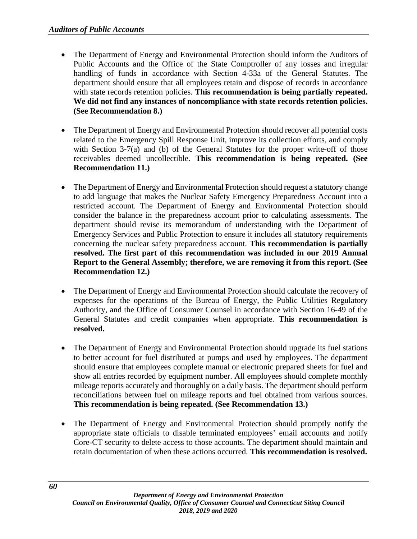- The Department of Energy and Environmental Protection should inform the Auditors of Public Accounts and the Office of the State Comptroller of any losses and irregular handling of funds in accordance with Section 4-33a of the General Statutes. The department should ensure that all employees retain and dispose of records in accordance with state records retention policies. **This recommendation is being partially repeated. We did not find any instances of noncompliance with state records retention policies. (See Recommendation 8.)**
- The Department of Energy and Environmental Protection should recover all potential costs related to the Emergency Spill Response Unit, improve its collection efforts, and comply with Section 3-7(a) and (b) of the General Statutes for the proper write-off of those receivables deemed uncollectible. **This recommendation is being repeated. (See Recommendation 11.)**
- The Department of Energy and Environmental Protection should request a statutory change to add language that makes the Nuclear Safety Emergency Preparedness Account into a restricted account. The Department of Energy and Environmental Protection should consider the balance in the preparedness account prior to calculating assessments. The department should revise its memorandum of understanding with the Department of Emergency Services and Public Protection to ensure it includes all statutory requirements concerning the nuclear safety preparedness account. **This recommendation is partially resolved. The first part of this recommendation was included in our 2019 Annual Report to the General Assembly; therefore, we are removing it from this report. (See Recommendation 12.)**
- The Department of Energy and Environmental Protection should calculate the recovery of expenses for the operations of the Bureau of Energy, the Public Utilities Regulatory Authority, and the Office of Consumer Counsel in accordance with Section 16-49 of the General Statutes and credit companies when appropriate. **This recommendation is resolved.**
- The Department of Energy and Environmental Protection should upgrade its fuel stations to better account for fuel distributed at pumps and used by employees. The department should ensure that employees complete manual or electronic prepared sheets for fuel and show all entries recorded by equipment number. All employees should complete monthly mileage reports accurately and thoroughly on a daily basis. The department should perform reconciliations between fuel on mileage reports and fuel obtained from various sources. **This recommendation is being repeated. (See Recommendation 13.)**
- The Department of Energy and Environmental Protection should promptly notify the appropriate state officials to disable terminated employees' email accounts and notify Core-CT security to delete access to those accounts. The department should maintain and retain documentation of when these actions occurred. **This recommendation is resolved.**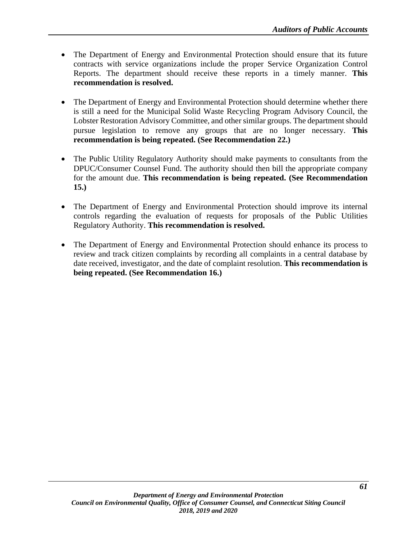- The Department of Energy and Environmental Protection should ensure that its future contracts with service organizations include the proper Service Organization Control Reports. The department should receive these reports in a timely manner. **This recommendation is resolved.**
- The Department of Energy and Environmental Protection should determine whether there is still a need for the Municipal Solid Waste Recycling Program Advisory Council, the Lobster Restoration Advisory Committee, and other similar groups. The department should pursue legislation to remove any groups that are no longer necessary. **This recommendation is being repeated. (See Recommendation 22.)**
- The Public Utility Regulatory Authority should make payments to consultants from the DPUC/Consumer Counsel Fund. The authority should then bill the appropriate company for the amount due. **This recommendation is being repeated. (See Recommendation 15.)**
- The Department of Energy and Environmental Protection should improve its internal controls regarding the evaluation of requests for proposals of the Public Utilities Regulatory Authority. **This recommendation is resolved.**
- The Department of Energy and Environmental Protection should enhance its process to review and track citizen complaints by recording all complaints in a central database by date received, investigator, and the date of complaint resolution. **This recommendation is being repeated. (See Recommendation 16.)**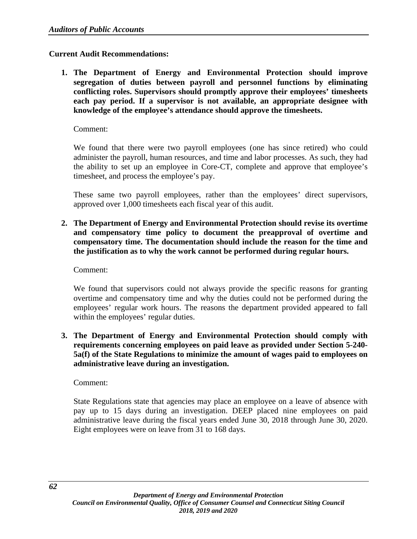## **Current Audit Recommendations:**

**1. The Department of Energy and Environmental Protection should improve segregation of duties between payroll and personnel functions by eliminating conflicting roles. Supervisors should promptly approve their employees' timesheets each pay period. If a supervisor is not available, an appropriate designee with knowledge of the employee's attendance should approve the timesheets.**

Comment:

We found that there were two payroll employees (one has since retired) who could administer the payroll, human resources, and time and labor processes. As such, they had the ability to set up an employee in Core-CT, complete and approve that employee's timesheet, and process the employee's pay.

These same two payroll employees, rather than the employees' direct supervisors, approved over 1,000 timesheets each fiscal year of this audit.

**2. The Department of Energy and Environmental Protection should revise its overtime and compensatory time policy to document the preapproval of overtime and compensatory time. The documentation should include the reason for the time and the justification as to why the work cannot be performed during regular hours.** 

Comment:

We found that supervisors could not always provide the specific reasons for granting overtime and compensatory time and why the duties could not be performed during the employees' regular work hours. The reasons the department provided appeared to fall within the employees' regular duties.

**3. The Department of Energy and Environmental Protection should comply with requirements concerning employees on paid leave as provided under Section 5-240- 5a(f) of the State Regulations to minimize the amount of wages paid to employees on administrative leave during an investigation.** 

Comment:

State Regulations state that agencies may place an employee on a leave of absence with pay up to 15 days during an investigation. DEEP placed nine employees on paid administrative leave during the fiscal years ended June 30, 2018 through June 30, 2020. Eight employees were on leave from 31 to 168 days.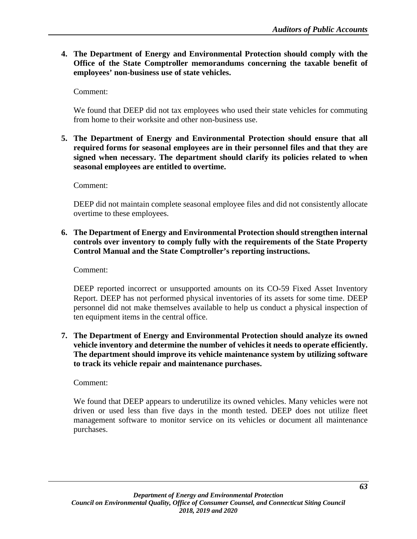**4. The Department of Energy and Environmental Protection should comply with the Office of the State Comptroller memorandums concerning the taxable benefit of employees' non-business use of state vehicles.** 

Comment:

We found that DEEP did not tax employees who used their state vehicles for commuting from home to their worksite and other non-business use.

**5. The Department of Energy and Environmental Protection should ensure that all required forms for seasonal employees are in their personnel files and that they are signed when necessary. The department should clarify its policies related to when seasonal employees are entitled to overtime.**

Comment:

DEEP did not maintain complete seasonal employee files and did not consistently allocate overtime to these employees.

**6. The Department of Energy and Environmental Protection should strengthen internal controls over inventory to comply fully with the requirements of the State Property Control Manual and the State Comptroller's reporting instructions.**

Comment:

DEEP reported incorrect or unsupported amounts on its CO-59 Fixed Asset Inventory Report. DEEP has not performed physical inventories of its assets for some time. DEEP personnel did not make themselves available to help us conduct a physical inspection of ten equipment items in the central office.

**7. The Department of Energy and Environmental Protection should analyze its owned vehicle inventory and determine the number of vehicles it needs to operate efficiently. The department should improve its vehicle maintenance system by utilizing software to track its vehicle repair and maintenance purchases.**

Comment:

We found that DEEP appears to underutilize its owned vehicles. Many vehicles were not driven or used less than five days in the month tested. DEEP does not utilize fleet management software to monitor service on its vehicles or document all maintenance purchases.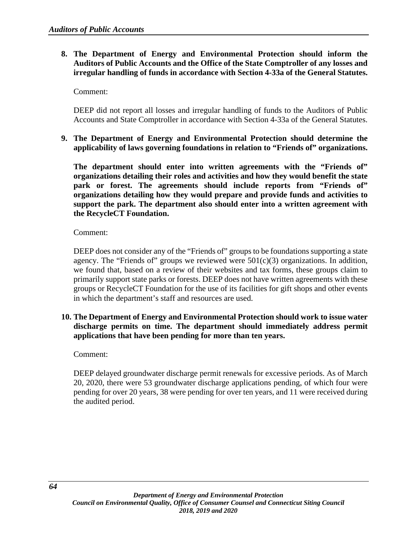# **8. The Department of Energy and Environmental Protection should inform the Auditors of Public Accounts and the Office of the State Comptroller of any losses and irregular handling of funds in accordance with Section 4-33a of the General Statutes.**

Comment:

DEEP did not report all losses and irregular handling of funds to the Auditors of Public Accounts and State Comptroller in accordance with Section 4-33a of the General Statutes.

**9. The Department of Energy and Environmental Protection should determine the applicability of laws governing foundations in relation to "Friends of" organizations.** 

**The department should enter into written agreements with the "Friends of" organizations detailing their roles and activities and how they would benefit the state park or forest. The agreements should include reports from "Friends of" organizations detailing how they would prepare and provide funds and activities to support the park. The department also should enter into a written agreement with the RecycleCT Foundation.**

Comment:

DEEP does not consider any of the "Friends of" groups to be foundations supporting a state agency. The "Friends of" groups we reviewed were  $501(c)(3)$  organizations. In addition, we found that, based on a review of their websites and tax forms, these groups claim to primarily support state parks or forests. DEEP does not have written agreements with these groups or RecycleCT Foundation for the use of its facilities for gift shops and other events in which the department's staff and resources are used.

# **10. The Department of Energy and Environmental Protection should work to issue water discharge permits on time. The department should immediately address permit applications that have been pending for more than ten years.**

Comment:

DEEP delayed groundwater discharge permit renewals for excessive periods. As of March 20, 2020, there were 53 groundwater discharge applications pending, of which four were pending for over 20 years, 38 were pending for over ten years, and 11 were received during the audited period.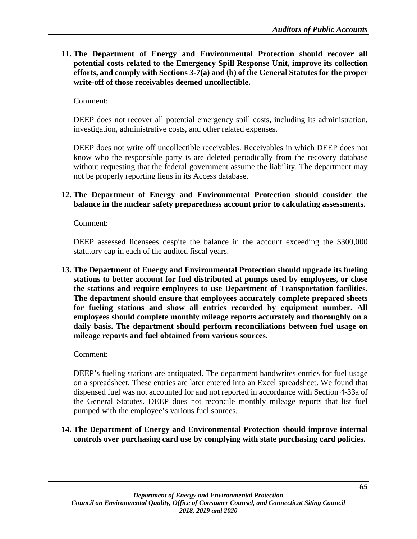**11. The Department of Energy and Environmental Protection should recover all potential costs related to the Emergency Spill Response Unit, improve its collection efforts, and comply with Sections 3-7(a) and (b) of the General Statutes for the proper write-off of those receivables deemed uncollectible.**

Comment:

DEEP does not recover all potential emergency spill costs, including its administration, investigation, administrative costs, and other related expenses.

DEEP does not write off uncollectible receivables. Receivables in which DEEP does not know who the responsible party is are deleted periodically from the recovery database without requesting that the federal government assume the liability. The department may not be properly reporting liens in its Access database.

#### **12. The Department of Energy and Environmental Protection should consider the balance in the nuclear safety preparedness account prior to calculating assessments.**

Comment:

DEEP assessed licensees despite the balance in the account exceeding the \$300,000 statutory cap in each of the audited fiscal years.

**13. The Department of Energy and Environmental Protection should upgrade its fueling stations to better account for fuel distributed at pumps used by employees, or close the stations and require employees to use Department of Transportation facilities. The department should ensure that employees accurately complete prepared sheets for fueling stations and show all entries recorded by equipment number. All employees should complete monthly mileage reports accurately and thoroughly on a daily basis. The department should perform reconciliations between fuel usage on mileage reports and fuel obtained from various sources.**

Comment:

DEEP's fueling stations are antiquated. The department handwrites entries for fuel usage on a spreadsheet. These entries are later entered into an Excel spreadsheet. We found that dispensed fuel was not accounted for and not reported in accordance with Section 4-33a of the General Statutes. DEEP does not reconcile monthly mileage reports that list fuel pumped with the employee's various fuel sources.

**14. The Department of Energy and Environmental Protection should improve internal controls over purchasing card use by complying with state purchasing card policies.**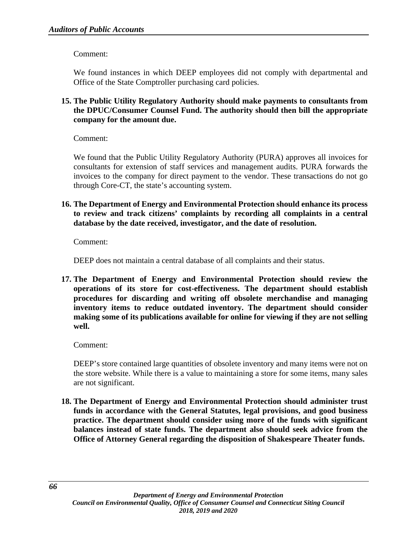Comment:

We found instances in which DEEP employees did not comply with departmental and Office of the State Comptroller purchasing card policies.

# **15. The Public Utility Regulatory Authority should make payments to consultants from the DPUC/Consumer Counsel Fund. The authority should then bill the appropriate company for the amount due.**

Comment:

We found that the Public Utility Regulatory Authority (PURA) approves all invoices for consultants for extension of staff services and management audits. PURA forwards the invoices to the company for direct payment to the vendor. These transactions do not go through Core-CT, the state's accounting system.

**16. The Department of Energy and Environmental Protection should enhance its process to review and track citizens' complaints by recording all complaints in a central database by the date received, investigator, and the date of resolution.**

Comment:

DEEP does not maintain a central database of all complaints and their status.

**17. The Department of Energy and Environmental Protection should review the operations of its store for cost-effectiveness. The department should establish procedures for discarding and writing off obsolete merchandise and managing inventory items to reduce outdated inventory. The department should consider making some of its publications available for online for viewing if they are not selling well.**

Comment:

DEEP's store contained large quantities of obsolete inventory and many items were not on the store website. While there is a value to maintaining a store for some items, many sales are not significant.

**18. The Department of Energy and Environmental Protection should administer trust funds in accordance with the General Statutes, legal provisions, and good business practice. The department should consider using more of the funds with significant balances instead of state funds. The department also should seek advice from the Office of Attorney General regarding the disposition of Shakespeare Theater funds.**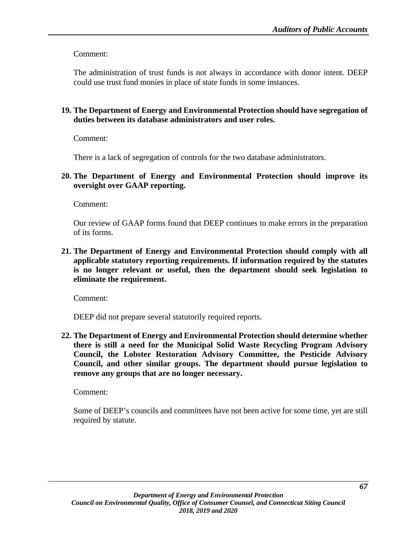Comment:

The administration of trust funds is not always in accordance with donor intent. DEEP could use trust fund monies in place of state funds in some instances.

# **19. The Department of Energy and Environmental Protection should have segregation of duties between its database administrators and user roles.**

Comment:

There is a lack of segregation of controls for the two database administrators.

## **20. The Department of Energy and Environmental Protection should improve its oversight over GAAP reporting.**

Comment:

Our review of GAAP forms found that DEEP continues to make errors in the preparation of its forms.

**21. The Department of Energy and Environmental Protection should comply with all applicable statutory reporting requirements. If information required by the statutes is no longer relevant or useful, then the department should seek legislation to eliminate the requirement.**

Comment:

DEEP did not prepare several statutorily required reports.

**22. The Department of Energy and Environmental Protection should determine whether there is still a need for the Municipal Solid Waste Recycling Program Advisory Council, the Lobster Restoration Advisory Committee, the Pesticide Advisory Council, and other similar groups. The department should pursue legislation to remove any groups that are no longer necessary.**

Comment:

Some of DEEP's councils and committees have not been active for some time, yet are still required by statute.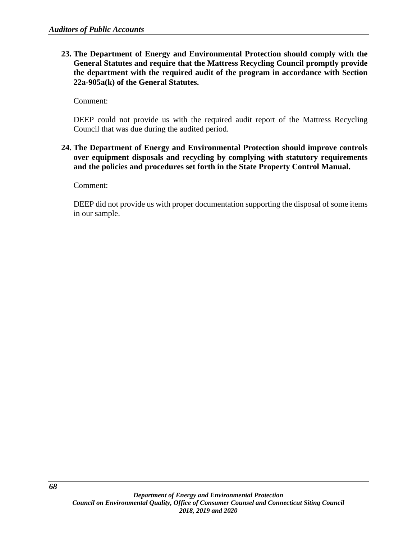**23. The Department of Energy and Environmental Protection should comply with the General Statutes and require that the Mattress Recycling Council promptly provide the department with the required audit of the program in accordance with Section 22a-905a(k) of the General Statutes.** 

Comment:

DEEP could not provide us with the required audit report of the Mattress Recycling Council that was due during the audited period.

**24. The Department of Energy and Environmental Protection should improve controls over equipment disposals and recycling by complying with statutory requirements and the policies and procedures set forth in the State Property Control Manual.**

Comment:

DEEP did not provide us with proper documentation supporting the disposal of some items in our sample.